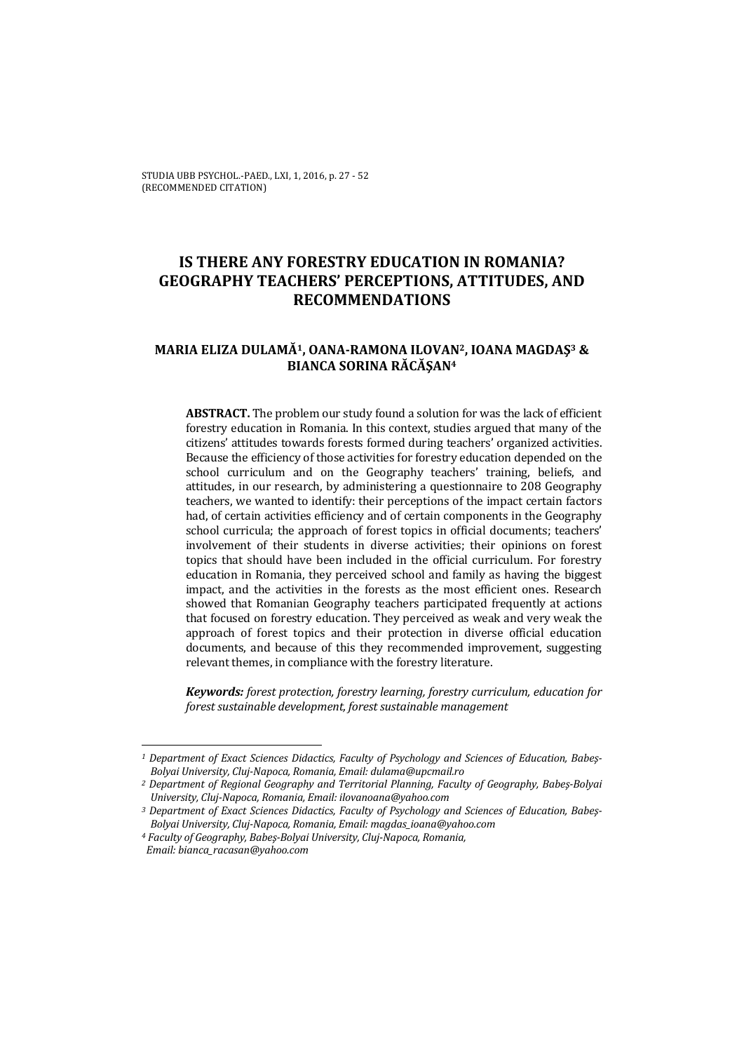STUDIA UBB PSYCHOL.-PAED., LXI, 1, 2016, p. 27 - 52 (RECOMMENDED CITATION)

# **IS THERE ANY FORESTRY EDUCATION IN ROMANIA? GEOGRAPHY TEACHERS' PERCEPTIONS, ATTITUDES, AND RECOMMENDATIONS**

## **MARIA ELIZA DULAMĂ1, OANA-RAMONA ILOVAN2, IOANA MAGDAŞ3 & BIANCA SORINA RĂCĂŞAN4**

**ABSTRACT.** The problem our study found a solution for was the lack of efficient forestry education in Romania. In this context, studies argued that many of the citizens' attitudes towards forests formed during teachers' organized activities. Because the efficiency of those activities for forestry education depended on the school curriculum and on the Geography teachers' training, beliefs, and attitudes, in our research, by administering a questionnaire to 208 Geography teachers, we wanted to identify: their perceptions of the impact certain factors had, of certain activities efficiency and of certain components in the Geography school curricula; the approach of forest topics in official documents; teachers' involvement of their students in diverse activities; their opinions on forest topics that should have been included in the official curriculum. For forestry education in Romania, they perceived school and family as having the biggest impact, and the activities in the forests as the most efficient ones. Research showed that Romanian Geography teachers participated frequently at actions that focused on forestry education. They perceived as weak and very weak the approach of forest topics and their protection in diverse official education documents, and because of this they recommended improvement, suggesting relevant themes, in compliance with the forestry literature.

*Keywords: forest protection, forestry learning, forestry curriculum, education for forest sustainable development, forest sustainable management* 

 $\overline{\phantom{0}}$ 

*<sup>1</sup> Department of Exact Sciences Didactics, Faculty of Psychology and Sciences of Education, Babeş-Bolyai University, Cluj-Napoca, Romania, Email: dulama@upcmail.ro* 

*<sup>2</sup> Department of Regional Geography and Territorial Planning, Faculty of Geography, Babeş-Bolyai University, Cluj-Napoca, Romania, Email: ilovanoana@yahoo.com* 

*<sup>3</sup> Department of Exact Sciences Didactics, Faculty of Psychology and Sciences of Education, Babeş-Bolyai University, Cluj-Napoca, Romania, Email: magdas\_ioana@yahoo.com* 

*<sup>4</sup> Faculty of Geography, Babeş-Bolyai University, Cluj-Napoca, Romania, Email: bianca\_racasan@yahoo.com*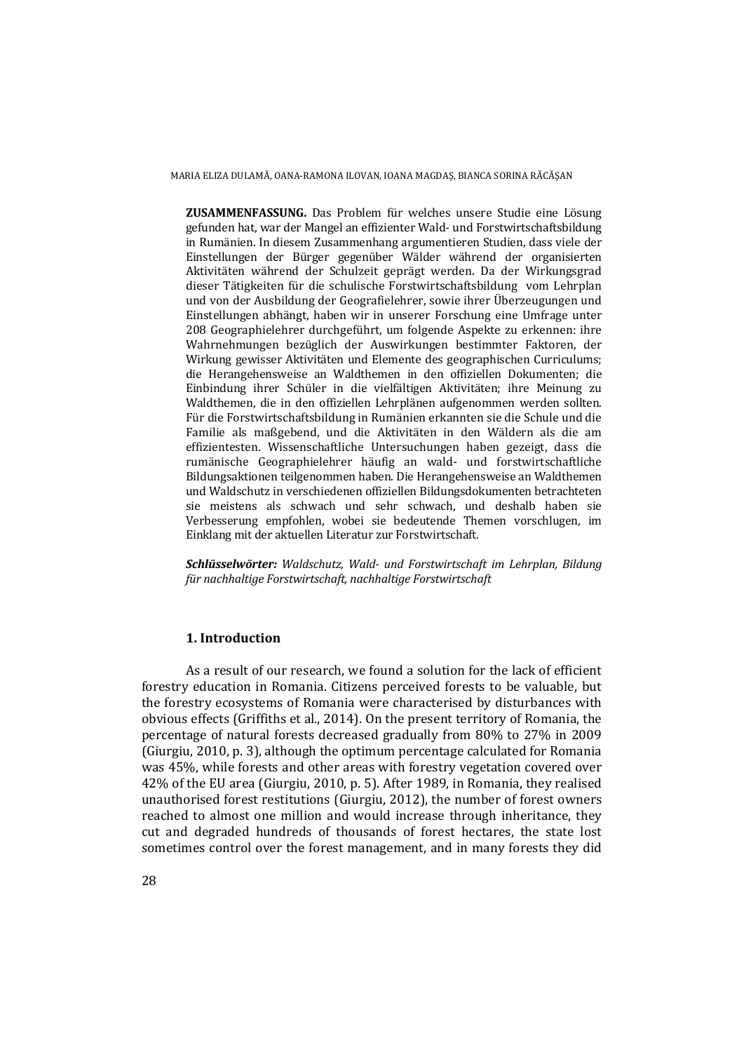**ZUSAMMENFASSUNG.** Das Problem für welches unsere Studie eine Lösung gefunden hat, war der Mangel an effizienter Wald- und Forstwirtschaftsbildung in Rumänien. In diesem Zusammenhang argumentieren Studien, dass viele der Einstellungen der Bürger gegenüber Wälder während der organisierten Aktivitäten während der Schulzeit geprägt werden. Da der Wirkungsgrad dieser Tätigkeiten für die schulische Forstwirtschaftsbildung vom Lehrplan und von der Ausbildung der Geografielehrer, sowie ihrer Überzeugungen und Einstellungen abhängt, haben wir in unserer Forschung eine Umfrage unter 208 Geographielehrer durchgeführt, um folgende Aspekte zu erkennen: ihre Wahrnehmungen bezüglich der Auswirkungen bestimmter Faktoren, der Wirkung gewisser Aktivitäten und Elemente des geographischen Curriculums; die Herangehensweise an Waldthemen in den offiziellen Dokumenten; die Einbindung ihrer Schüler in die vielfältigen Aktivitäten; ihre Meinung zu Waldthemen, die in den offiziellen Lehrplänen aufgenommen werden sollten. Für die Forstwirtschaftsbildung in Rumänien erkannten sie die Schule und die Familie als maßgebend, und die Aktivitäten in den Wäldern als die am effizientesten. Wissenschaftliche Untersuchungen haben gezeigt, dass die rumänische Geographielehrer häufig an wald- und forstwirtschaftliche Bildungsaktionen teilgenommen haben. Die Herangehensweise an Waldthemen und Waldschutz in verschiedenen offiziellen Bildungsdokumenten betrachteten sie meistens als schwach und sehr schwach, und deshalb haben sie Verbesserung empfohlen, wobei sie bedeutende Themen vorschlugen, im Einklang mit der aktuellen Literatur zur Forstwirtschaft.

*Schlüsselwörter: Waldschutz, Wald- und Forstwirtschaft im Lehrplan, Bildung für nachhaltige Forstwirtschaft, nachhaltige Forstwirtschaft* 

### **1. Introduction**

As a result of our research, we found a solution for the lack of efficient forestry education in Romania. Citizens perceived forests to be valuable, but the forestry ecosystems of Romania were characterised by disturbances with obvious effects (Griffiths et al., 2014). On the present territory of Romania, the percentage of natural forests decreased gradually from 80% to 27% in 2009 (Giurgiu, 2010, p. 3), although the optimum percentage calculated for Romania was 45%, while forests and other areas with forestry vegetation covered over 42% of the EU area (Giurgiu, 2010, p. 5). After 1989, in Romania, they realised unauthorised forest restitutions (Giurgiu, 2012), the number of forest owners reached to almost one million and would increase through inheritance, they cut and degraded hundreds of thousands of forest hectares, the state lost sometimes control over the forest management, and in many forests they did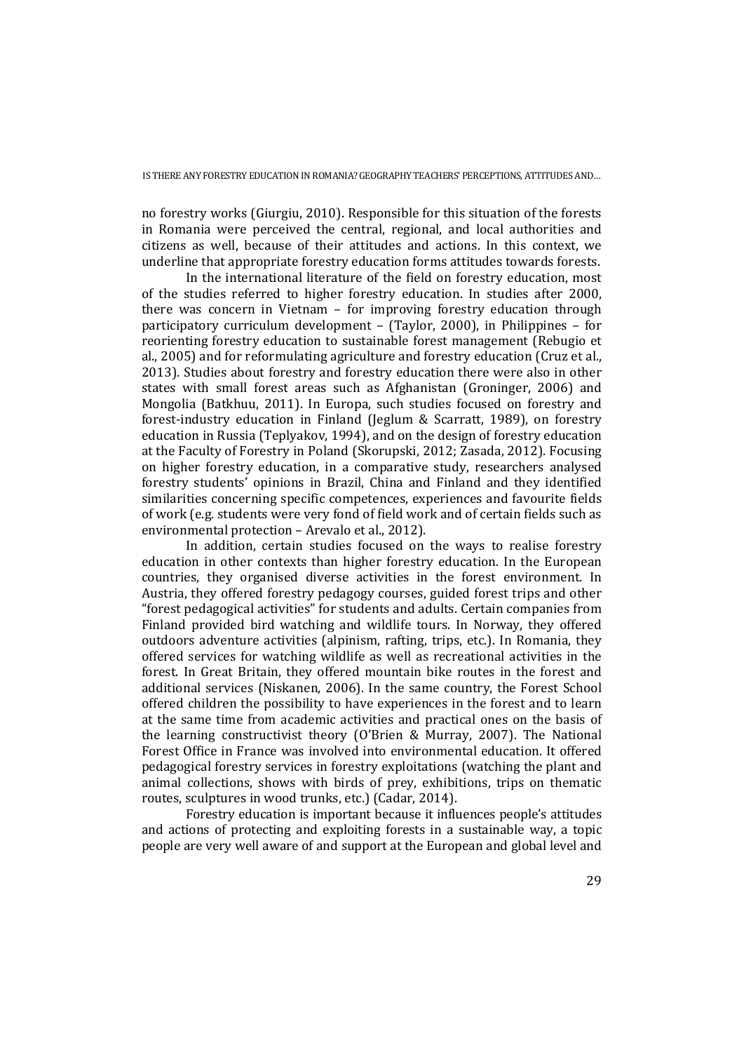no forestry works (Giurgiu, 2010). Responsible for this situation of the forests in Romania were perceived the central, regional, and local authorities and citizens as well, because of their attitudes and actions. In this context, we underline that appropriate forestry education forms attitudes towards forests.

In the international literature of the field on forestry education, most of the studies referred to higher forestry education. In studies after 2000, there was concern in Vietnam – for improving forestry education through participatory curriculum development – (Taylor, 2000), in Philippines – for reorienting forestry education to sustainable forest management (Rebugio et al., 2005) and for reformulating agriculture and forestry education (Cruz et al., 2013). Studies about forestry and forestry education there were also in other states with small forest areas such as Afghanistan (Groninger, 2006) and Mongolia (Batkhuu, 2011). In Europa, such studies focused on forestry and forest-industry education in Finland (Jeglum & Scarratt, 1989), on forestry education in Russia (Teplyakov, 1994), and on the design of forestry education at the Faculty of Forestry in Poland (Skorupski, 2012; Zasada, 2012). Focusing on higher forestry education, in a comparative study, researchers analysed forestry students' opinions in Brazil, China and Finland and they identified similarities concerning specific competences, experiences and favourite fields of work (e.g. students were very fond of field work and of certain fields such as environmental protection – Arevalo et al., 2012).

In addition, certain studies focused on the ways to realise forestry education in other contexts than higher forestry education. In the European countries, they organised diverse activities in the forest environment. In Austria, they offered forestry pedagogy courses, guided forest trips and other "forest pedagogical activities" for students and adults. Certain companies from Finland provided bird watching and wildlife tours. In Norway, they offered outdoors adventure activities (alpinism, rafting, trips, etc.). In Romania, they offered services for watching wildlife as well as recreational activities in the forest. In Great Britain, they offered mountain bike routes in the forest and additional services (Niskanen, 2006). In the same country, the Forest School offered children the possibility to have experiences in the forest and to learn at the same time from academic activities and practical ones on the basis of the learning constructivist theory (O'Brien & Murray, 2007). The National Forest Office in France was involved into environmental education. It offered pedagogical forestry services in forestry exploitations (watching the plant and animal collections, shows with birds of prey, exhibitions, trips on thematic routes, sculptures in wood trunks, etc.) (Cadar, 2014).

Forestry education is important because it influences people's attitudes and actions of protecting and exploiting forests in a sustainable way, a topic people are very well aware of and support at the European and global level and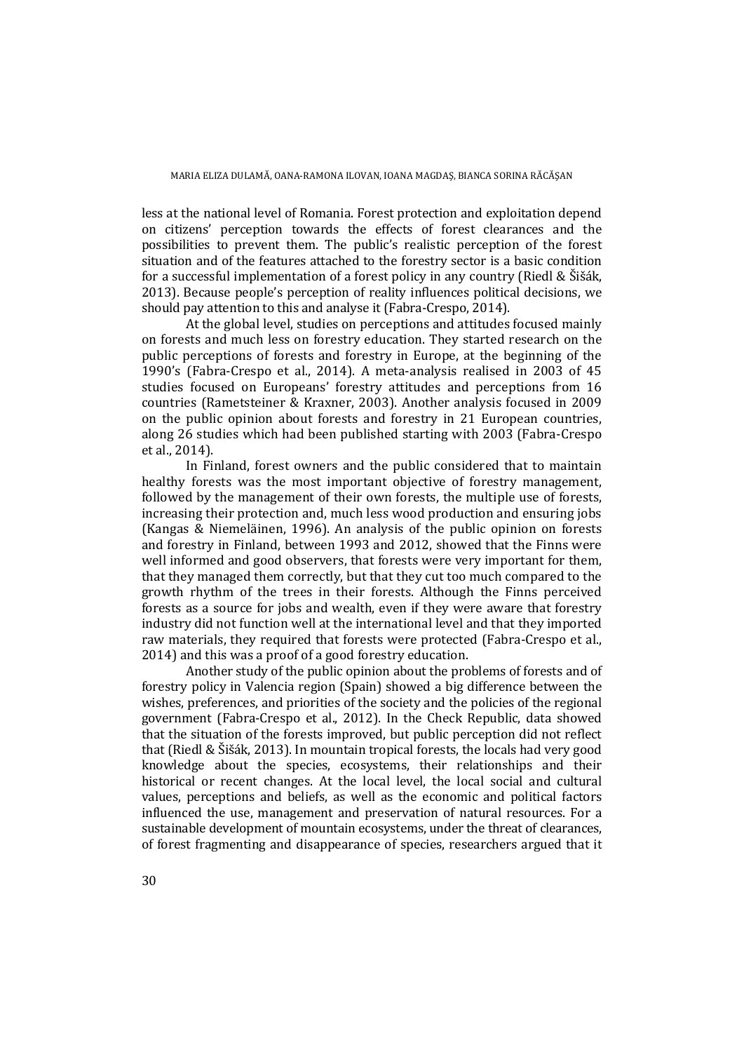less at the national level of Romania. Forest protection and exploitation depend on citizens' perception towards the effects of forest clearances and the possibilities to prevent them. The public's realistic perception of the forest situation and of the features attached to the forestry sector is a basic condition for a successful implementation of a forest policy in any country (Riedl & Šišák, 2013). Because people's perception of reality influences political decisions, we should pay attention to this and analyse it (Fabra-Crespo, 2014).

At the global level, studies on perceptions and attitudes focused mainly on forests and much less on forestry education. They started research on the public perceptions of forests and forestry in Europe, at the beginning of the 1990's (Fabra-Crespo et al., 2014). A meta-analysis realised in 2003 of 45 studies focused on Europeans' forestry attitudes and perceptions from 16 countries (Rametsteiner & Kraxner, 2003). Another analysis focused in 2009 on the public opinion about forests and forestry in 21 European countries, along 26 studies which had been published starting with 2003 (Fabra-Crespo et al., 2014).

In Finland, forest owners and the public considered that to maintain healthy forests was the most important objective of forestry management, followed by the management of their own forests, the multiple use of forests, increasing their protection and, much less wood production and ensuring jobs (Kangas & Niemeläinen, 1996). An analysis of the public opinion on forests and forestry in Finland, between 1993 and 2012, showed that the Finns were well informed and good observers, that forests were very important for them, that they managed them correctly, but that they cut too much compared to the growth rhythm of the trees in their forests. Although the Finns perceived forests as a source for jobs and wealth, even if they were aware that forestry industry did not function well at the international level and that they imported raw materials, they required that forests were protected (Fabra-Crespo et al., 2014) and this was a proof of a good forestry education.

Another study of the public opinion about the problems of forests and of forestry policy in Valencia region (Spain) showed a big difference between the wishes, preferences, and priorities of the society and the policies of the regional government (Fabra-Crespo et al., 2012). In the Check Republic, data showed that the situation of the forests improved, but public perception did not reflect that (Riedl & Šišák, 2013). In mountain tropical forests, the locals had very good knowledge about the species, ecosystems, their relationships and their historical or recent changes. At the local level, the local social and cultural values, perceptions and beliefs, as well as the economic and political factors influenced the use, management and preservation of natural resources. For a sustainable development of mountain ecosystems, under the threat of clearances, of forest fragmenting and disappearance of species, researchers argued that it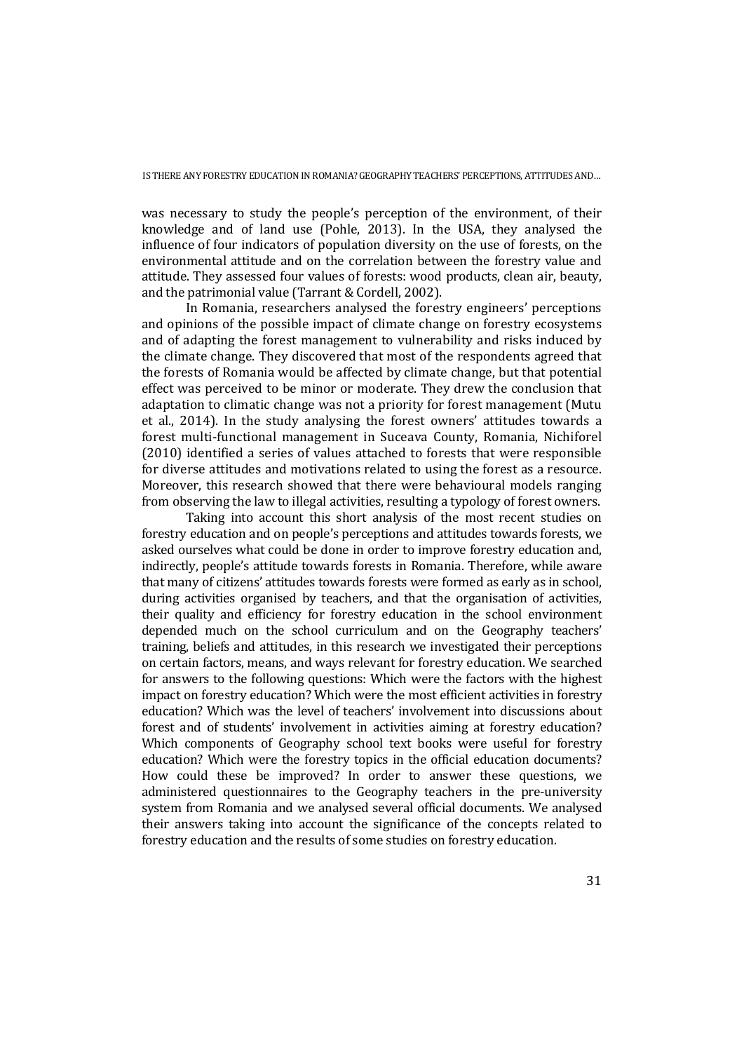was necessary to study the people's perception of the environment, of their knowledge and of land use (Pohle, 2013). In the USA, they analysed the influence of four indicators of population diversity on the use of forests, on the environmental attitude and on the correlation between the forestry value and attitude. They assessed four values of forests: wood products, clean air, beauty, and the patrimonial value (Tarrant & Cordell, 2002).

In Romania, researchers analysed the forestry engineers' perceptions and opinions of the possible impact of climate change on forestry ecosystems and of adapting the forest management to vulnerability and risks induced by the climate change. They discovered that most of the respondents agreed that the forests of Romania would be affected by climate change, but that potential effect was perceived to be minor or moderate. They drew the conclusion that adaptation to climatic change was not a priority for forest management (Mutu et al., 2014). In the study analysing the forest owners' attitudes towards a forest multi-functional management in Suceava County, Romania, Nichiforel (2010) identified a series of values attached to forests that were responsible for diverse attitudes and motivations related to using the forest as a resource. Moreover, this research showed that there were behavioural models ranging from observing the law to illegal activities, resulting a typology of forest owners.

Taking into account this short analysis of the most recent studies on forestry education and on people's perceptions and attitudes towards forests, we asked ourselves what could be done in order to improve forestry education and, indirectly, people's attitude towards forests in Romania. Therefore, while aware that many of citizens' attitudes towards forests were formed as early as in school, during activities organised by teachers, and that the organisation of activities, their quality and efficiency for forestry education in the school environment depended much on the school curriculum and on the Geography teachers' training, beliefs and attitudes, in this research we investigated their perceptions on certain factors, means, and ways relevant for forestry education. We searched for answers to the following questions: Which were the factors with the highest impact on forestry education? Which were the most efficient activities in forestry education? Which was the level of teachers' involvement into discussions about forest and of students' involvement in activities aiming at forestry education? Which components of Geography school text books were useful for forestry education? Which were the forestry topics in the official education documents? How could these be improved? In order to answer these questions, we administered questionnaires to the Geography teachers in the pre-university system from Romania and we analysed several official documents. We analysed their answers taking into account the significance of the concepts related to forestry education and the results of some studies on forestry education.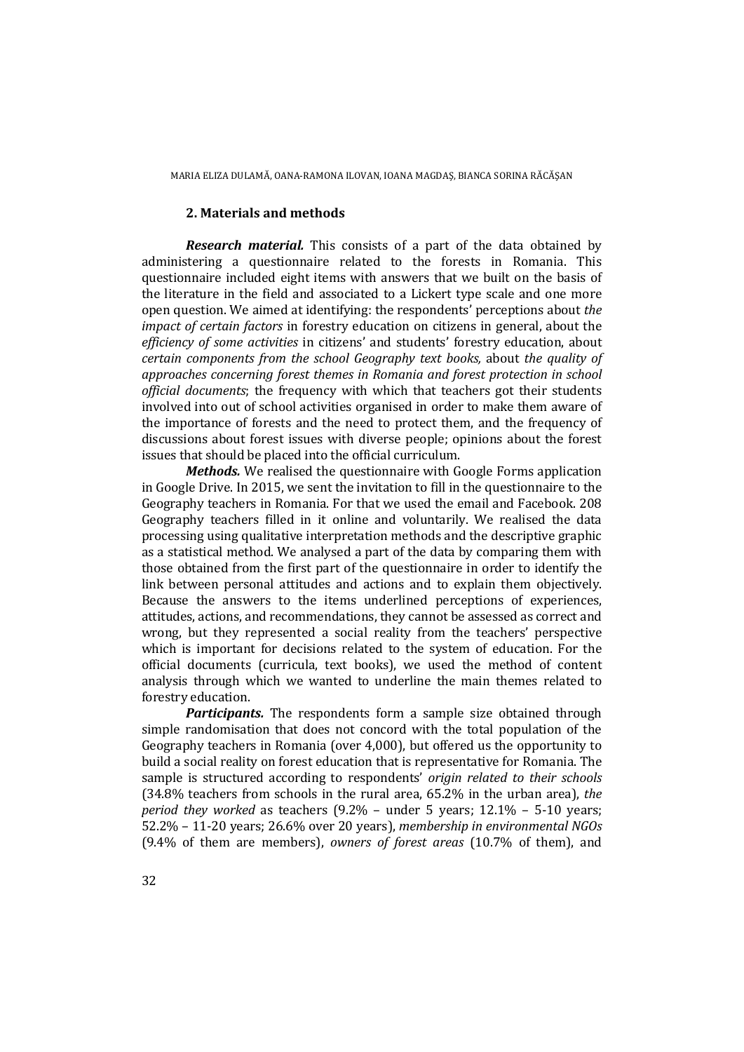#### **2. Materials and methods**

*Research material.* This consists of a part of the data obtained by administering a questionnaire related to the forests in Romania. This questionnaire included eight items with answers that we built on the basis of the literature in the field and associated to a Lickert type scale and one more open question. We aimed at identifying: the respondents' perceptions about *the impact of certain factors* in forestry education on citizens in general, about the *efficiency of some activities* in citizens' and students' forestry education, about *certain components from the school Geography text books,* about *the quality of approaches concerning forest themes in Romania and forest protection in school official documents*; the frequency with which that teachers got their students involved into out of school activities organised in order to make them aware of the importance of forests and the need to protect them, and the frequency of discussions about forest issues with diverse people; opinions about the forest issues that should be placed into the official curriculum.

*Methods.* We realised the questionnaire with Google Forms application in Google Drive. In 2015, we sent the invitation to fill in the questionnaire to the Geography teachers in Romania. For that we used the email and Facebook. 208 Geography teachers filled in it online and voluntarily. We realised the data processing using qualitative interpretation methods and the descriptive graphic as a statistical method. We analysed a part of the data by comparing them with those obtained from the first part of the questionnaire in order to identify the link between personal attitudes and actions and to explain them objectively. Because the answers to the items underlined perceptions of experiences, attitudes, actions, and recommendations, they cannot be assessed as correct and wrong, but they represented a social reality from the teachers' perspective which is important for decisions related to the system of education. For the official documents (curricula, text books), we used the method of content analysis through which we wanted to underline the main themes related to forestry education.

*Participants.* The respondents form a sample size obtained through simple randomisation that does not concord with the total population of the Geography teachers in Romania (over 4,000), but offered us the opportunity to build a social reality on forest education that is representative for Romania. The sample is structured according to respondents' *origin related to their schools* (34.8% teachers from schools in the rural area, 65.2% in the urban area), *the period they worked* as teachers (9.2% – under 5 years; 12.1% – 5-10 years; 52.2% – 11-20 years; 26.6% over 20 years), *membership in environmental NGOs*  (9.4% of them are members), *owners of forest areas* (10.7% of them), and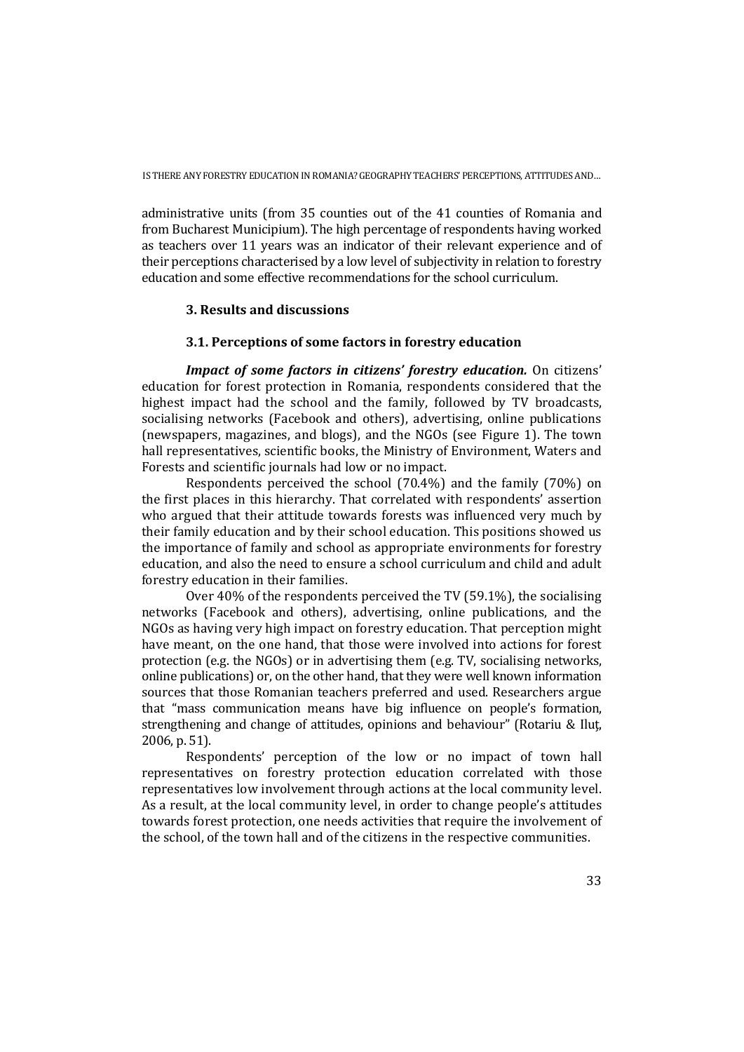administrative units (from 35 counties out of the 41 counties of Romania and from Bucharest Municipium). The high percentage of respondents having worked as teachers over 11 years was an indicator of their relevant experience and of their perceptions characterised by a low level of subjectivity in relation to forestry education and some effective recommendations for the school curriculum.

## **3. Results and discussions**

#### **3.1. Perceptions of some factors in forestry education**

*Impact of some factors in citizens' forestry education.* On citizens' education for forest protection in Romania, respondents considered that the highest impact had the school and the family, followed by TV broadcasts, socialising networks (Facebook and others), advertising, online publications (newspapers, magazines, and blogs), and the NGOs (see Figure 1). The town hall representatives, scientific books, the Ministry of Environment, Waters and Forests and scientific journals had low or no impact.

Respondents perceived the school (70.4%) and the family (70%) on the first places in this hierarchy. That correlated with respondents' assertion who argued that their attitude towards forests was influenced very much by their family education and by their school education. This positions showed us the importance of family and school as appropriate environments for forestry education, and also the need to ensure a school curriculum and child and adult forestry education in their families.

Over 40% of the respondents perceived the TV (59.1%), the socialising networks (Facebook and others), advertising, online publications, and the NGOs as having very high impact on forestry education. That perception might have meant, on the one hand, that those were involved into actions for forest protection (e.g. the NGOs) or in advertising them (e.g. TV, socialising networks, online publications) or, on the other hand, that they were well known information sources that those Romanian teachers preferred and used. Researchers argue that "mass communication means have big influence on people's formation, strengthening and change of attitudes, opinions and behaviour" (Rotariu & Iluţ, 2006, p. 51).

Respondents' perception of the low or no impact of town hall representatives on forestry protection education correlated with those representatives low involvement through actions at the local community level. As a result, at the local community level, in order to change people's attitudes towards forest protection, one needs activities that require the involvement of the school, of the town hall and of the citizens in the respective communities.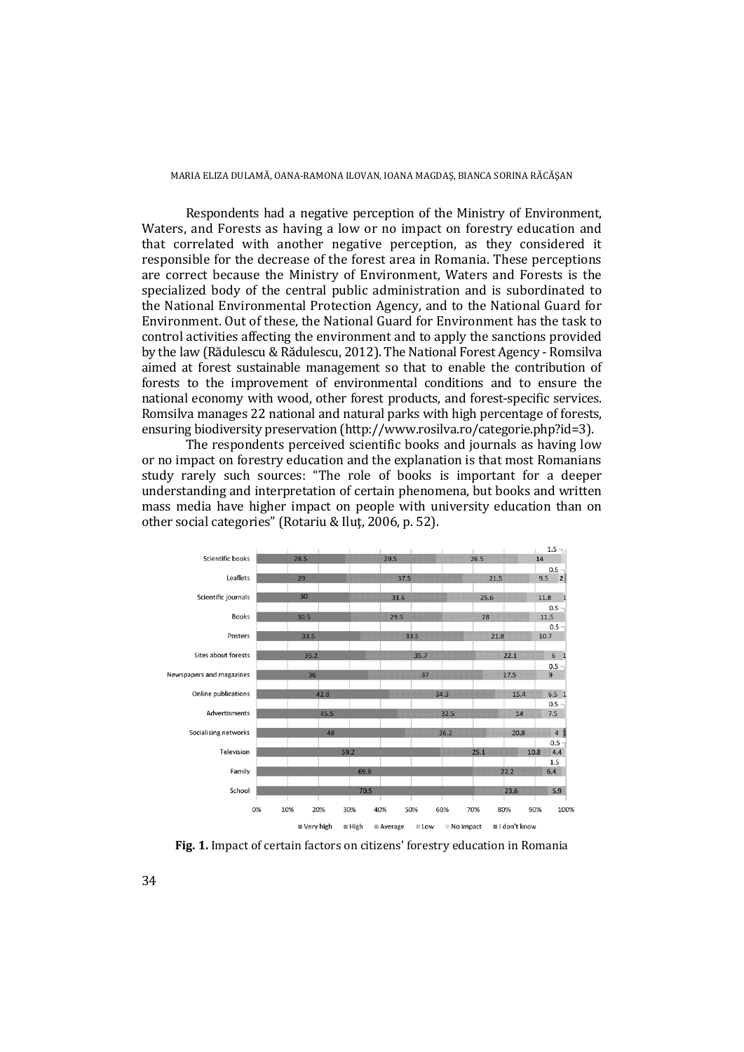Respondents had a negative perception of the Ministry of Environment, Waters, and Forests as having a low or no impact on forestry education and that correlated with another negative perception, as they considered it responsible for the decrease of the forest area in Romania. These perceptions are correct because the Ministry of Environment, Waters and Forests is the specialized body of the central public administration and is subordinated to the National Environmental Protection Agency, and to the National Guard for Environment. Out of these, the National Guard for Environment has the task to control activities affecting the environment and to apply the sanctions provided by the law (Rădulescu & Rădulescu, 2012). The National Forest Agency - Romsilva aimed at forest sustainable management so that to enable the contribution of forests to the improvement of environmental conditions and to ensure the national economy with wood, other forest products, and forest-specific services. Romsilva manages 22 national and natural parks with high percentage of forests, ensuring biodiversity preservation (http://www.rosilva.ro/categorie.php?id=3).

The respondents perceived scientific books and journals as having low or no impact on forestry education and the explanation is that most Romanians study rarely such sources: "The role of books is important for a deeper understanding and interpretation of certain phenomena, but books and written mass media have higher impact on people with university education than on other social categories" (Rotariu & Iluţ, 2006, p. 52).



**Fig. 1.** Impact of certain factors on citizens' forestry education in Romania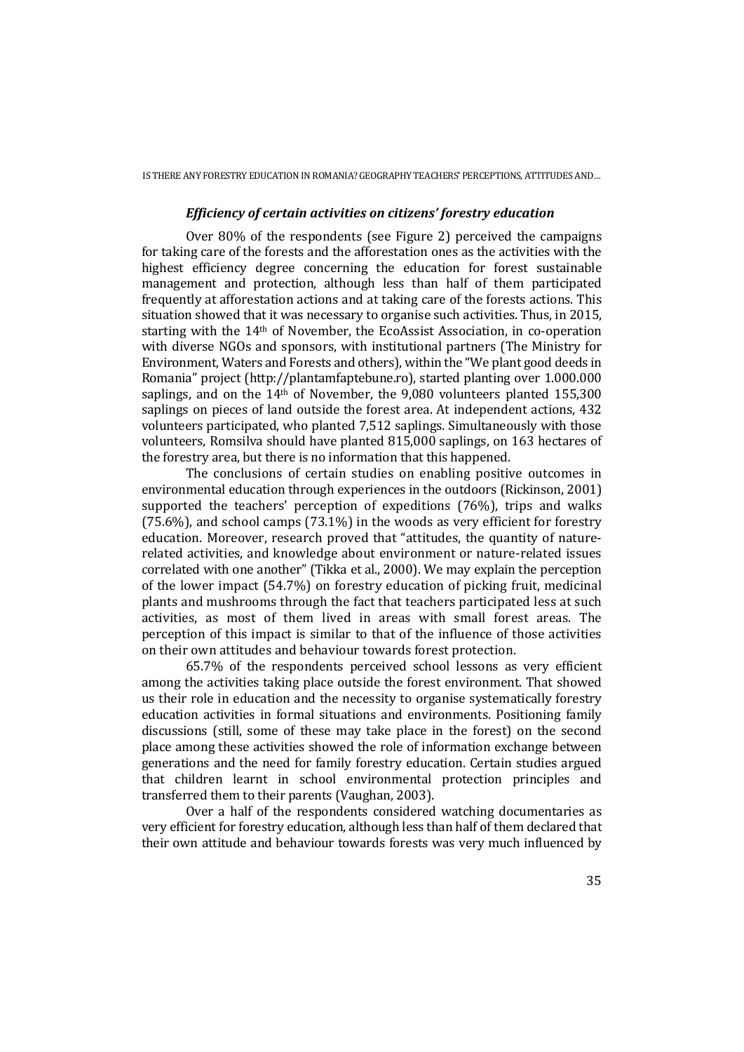### *Efficiency of certain activities on citizens' forestry education*

Over 80% of the respondents (see Figure 2) perceived the campaigns for taking care of the forests and the afforestation ones as the activities with the highest efficiency degree concerning the education for forest sustainable management and protection, although less than half of them participated frequently at afforestation actions and at taking care of the forests actions. This situation showed that it was necessary to organise such activities. Thus, in 2015, starting with the 14th of November, the EcoAssist Association, in co-operation with diverse NGOs and sponsors, with institutional partners (The Ministry for Environment, Waters and Forests and others), within the "We plant good deeds in Romania" project (http://plantamfaptebune.ro), started planting over 1.000.000 saplings, and on the 14th of November, the 9,080 volunteers planted 155,300 saplings on pieces of land outside the forest area. At independent actions, 432 volunteers participated, who planted 7,512 saplings. Simultaneously with those volunteers, Romsilva should have planted 815,000 saplings, on 163 hectares of the forestry area, but there is no information that this happened.

The conclusions of certain studies on enabling positive outcomes in environmental education through experiences in the outdoors (Rickinson, 2001) supported the teachers' perception of expeditions (76%), trips and walks (75.6%), and school camps (73.1%) in the woods as very efficient for forestry education. Moreover, research proved that "attitudes, the quantity of naturerelated activities, and knowledge about environment or nature-related issues correlated with one another" (Tikka et al., 2000). We may explain the perception of the lower impact (54.7%) on forestry education of picking fruit, medicinal plants and mushrooms through the fact that teachers participated less at such activities, as most of them lived in areas with small forest areas. The perception of this impact is similar to that of the influence of those activities on their own attitudes and behaviour towards forest protection.

65.7% of the respondents perceived school lessons as very efficient among the activities taking place outside the forest environment. That showed us their role in education and the necessity to organise systematically forestry education activities in formal situations and environments. Positioning family discussions (still, some of these may take place in the forest) on the second place among these activities showed the role of information exchange between generations and the need for family forestry education. Certain studies argued that children learnt in school environmental protection principles and transferred them to their parents (Vaughan, 2003).

Over a half of the respondents considered watching documentaries as very efficient for forestry education, although less than half of them declared that their own attitude and behaviour towards forests was very much influenced by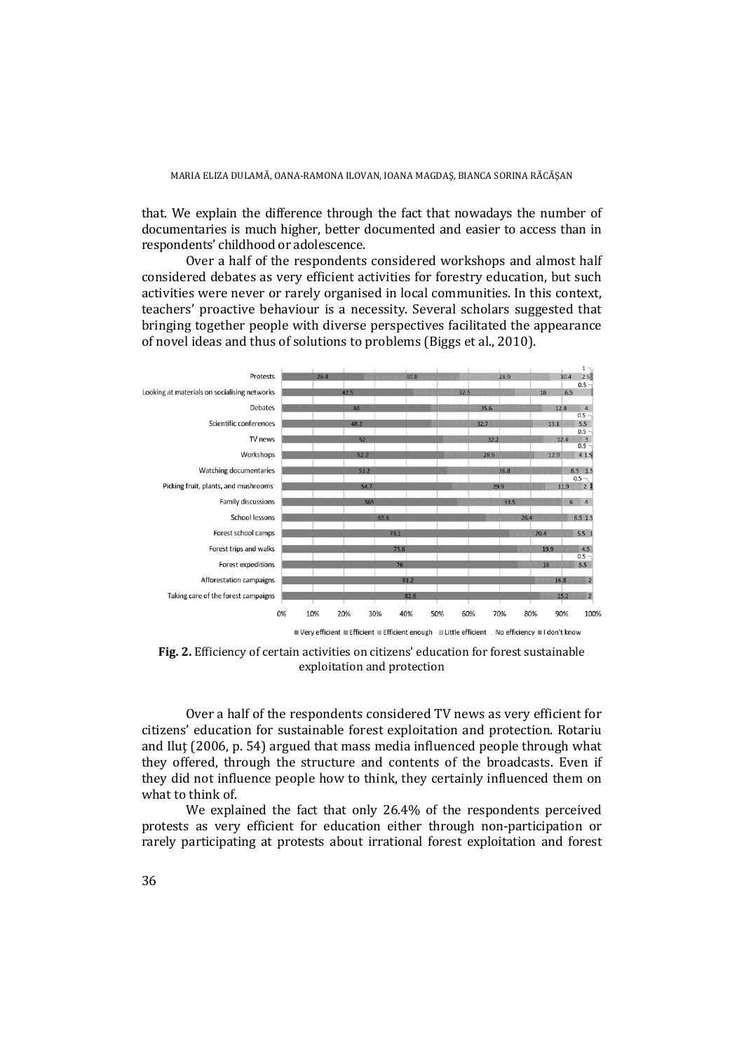that. We explain the difference through the fact that nowadays the number of documentaries is much higher, better documented and easier to access than in respondents' childhood or adolescence.

Over a half of the respondents considered workshops and almost half considered debates as very efficient activities for forestry education, but such activities were never or rarely organised in local communities. In this context, teachers' proactive behaviour is a necessity. Several scholars suggested that bringing together people with diverse perspectives facilitated the appearance of novel ideas and thus of solutions to problems (Biggs et al., 2010).



**Fig. 2.** Efficiency of certain activities on citizens' education for forest sustainable exploitation and protection

Over a half of the respondents considered TV news as very efficient for citizens' education for sustainable forest exploitation and protection. Rotariu and Ilut (2006, p. 54) argued that mass media influenced people through what they offered, through the structure and contents of the broadcasts. Even if they did not influence people how to think, they certainly influenced them on what to think of.

We explained the fact that only 26.4% of the respondents perceived protests as very efficient for education either through non-participation or rarely participating at protests about irrational forest exploitation and forest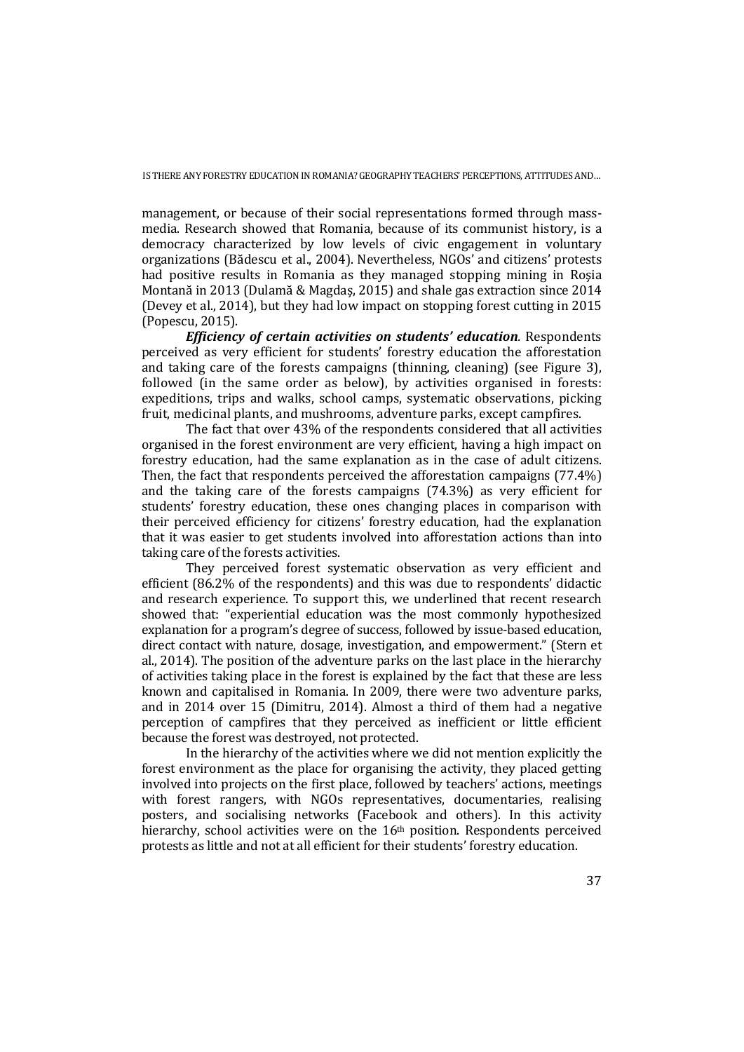management, or because of their social representations formed through massmedia. Research showed that Romania, because of its communist history, is a democracy characterized by low levels of civic engagement in voluntary organizations (Bădescu et al., 2004). Nevertheless, NGOs' and citizens' protests had positive results in Romania as they managed stopping mining in Roşia Montană in 2013 (Dulamă & Magdaş, 2015) and shale gas extraction since 2014 (Devey et al., 2014), but they had low impact on stopping forest cutting in 2015 (Popescu, 2015).

*Efficiency of certain activities on students' education.* Respondents perceived as very efficient for students' forestry education the afforestation and taking care of the forests campaigns (thinning, cleaning) (see Figure 3), followed (in the same order as below), by activities organised in forests: expeditions, trips and walks, school camps, systematic observations, picking fruit, medicinal plants, and mushrooms, adventure parks, except campfires.

The fact that over 43% of the respondents considered that all activities organised in the forest environment are very efficient, having a high impact on forestry education, had the same explanation as in the case of adult citizens. Then, the fact that respondents perceived the afforestation campaigns (77.4%) and the taking care of the forests campaigns (74.3%) as very efficient for students' forestry education, these ones changing places in comparison with their perceived efficiency for citizens' forestry education, had the explanation that it was easier to get students involved into afforestation actions than into taking care of the forests activities.

They perceived forest systematic observation as very efficient and efficient (86.2% of the respondents) and this was due to respondents' didactic and research experience. To support this, we underlined that recent research showed that: "experiential education was the most commonly hypothesized explanation for a program's degree of success, followed by issue-based education, direct contact with nature, dosage, investigation, and empowerment." (Stern et al., 2014). The position of the adventure parks on the last place in the hierarchy of activities taking place in the forest is explained by the fact that these are less known and capitalised in Romania. In 2009, there were two adventure parks, and in 2014 over 15 (Dimitru, 2014). Almost a third of them had a negative perception of campfires that they perceived as inefficient or little efficient because the forest was destroyed, not protected.

In the hierarchy of the activities where we did not mention explicitly the forest environment as the place for organising the activity, they placed getting involved into projects on the first place, followed by teachers' actions, meetings with forest rangers, with NGOs representatives, documentaries, realising posters, and socialising networks (Facebook and others). In this activity hierarchy, school activities were on the 16<sup>th</sup> position. Respondents perceived protests as little and not at all efficient for their students' forestry education.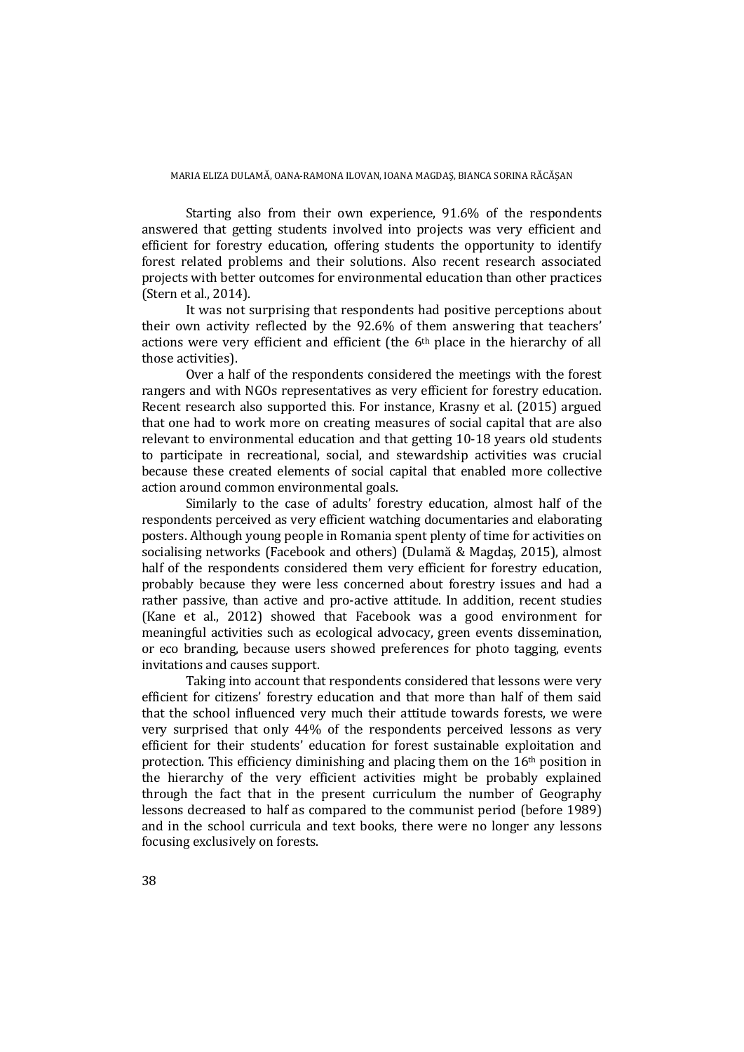Starting also from their own experience, 91.6% of the respondents answered that getting students involved into projects was very efficient and efficient for forestry education, offering students the opportunity to identify forest related problems and their solutions. Also recent research associated projects with better outcomes for environmental education than other practices (Stern et al., 2014).

It was not surprising that respondents had positive perceptions about their own activity reflected by the 92.6% of them answering that teachers' actions were very efficient and efficient (the 6<sup>th</sup> place in the hierarchy of all those activities).

Over a half of the respondents considered the meetings with the forest rangers and with NGOs representatives as very efficient for forestry education. Recent research also supported this. For instance, Krasny et al. (2015) argued that one had to work more on creating measures of social capital that are also relevant to environmental education and that getting 10-18 years old students to participate in recreational, social, and stewardship activities was crucial because these created elements of social capital that enabled more collective action around common environmental goals.

Similarly to the case of adults' forestry education, almost half of the respondents perceived as very efficient watching documentaries and elaborating posters. Although young people in Romania spent plenty of time for activities on socialising networks (Facebook and others) (Dulamă & Magdaş, 2015), almost half of the respondents considered them very efficient for forestry education, probably because they were less concerned about forestry issues and had a rather passive, than active and pro-active attitude. In addition, recent studies (Kane et al., 2012) showed that Facebook was a good environment for meaningful activities such as ecological advocacy, green events dissemination, or eco branding, because users showed preferences for photo tagging, events invitations and causes support.

Taking into account that respondents considered that lessons were very efficient for citizens' forestry education and that more than half of them said that the school influenced very much their attitude towards forests, we were very surprised that only 44% of the respondents perceived lessons as very efficient for their students' education for forest sustainable exploitation and protection. This efficiency diminishing and placing them on the  $16<sup>th</sup>$  position in the hierarchy of the very efficient activities might be probably explained through the fact that in the present curriculum the number of Geography lessons decreased to half as compared to the communist period (before 1989) and in the school curricula and text books, there were no longer any lessons focusing exclusively on forests.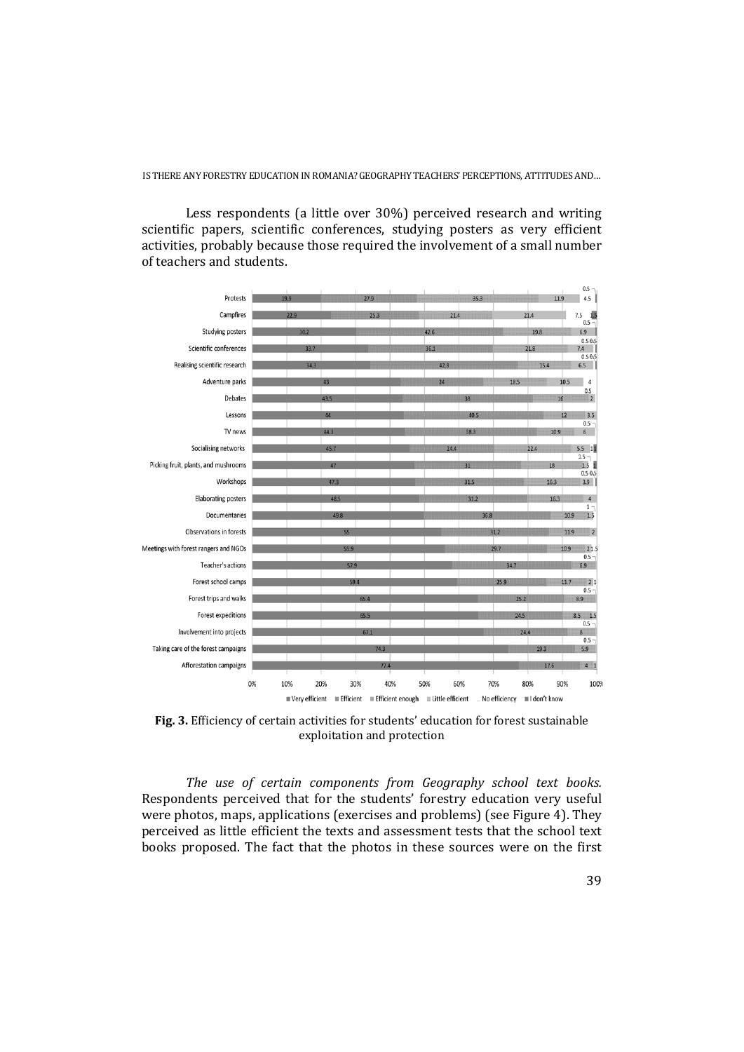scientific papers, scientific conferences, studying posters as very efficient

Less respondents (a little over 30%) perceived research and writing

activities, probably because those required the involvement of a small number of teachers and students.  $0.5$ Protests  $|4.5|$  $7.5\frac{1.5}{0.5}$ Campfires Studying posters 6.9  $0.5055$ Scientific conferences  $7.4$  $0.56$ Realising scientific research  $6.5$  $\overline{1}$ 



**Fig. 3.** Efficiency of certain activities for students' education for forest sustainable exploitation and protection

*The use of certain components from Geography school text books.*  Respondents perceived that for the students' forestry education very useful were photos, maps, applications (exercises and problems) (see Figure 4). They perceived as little efficient the texts and assessment tests that the school text books proposed. The fact that the photos in these sources were on the first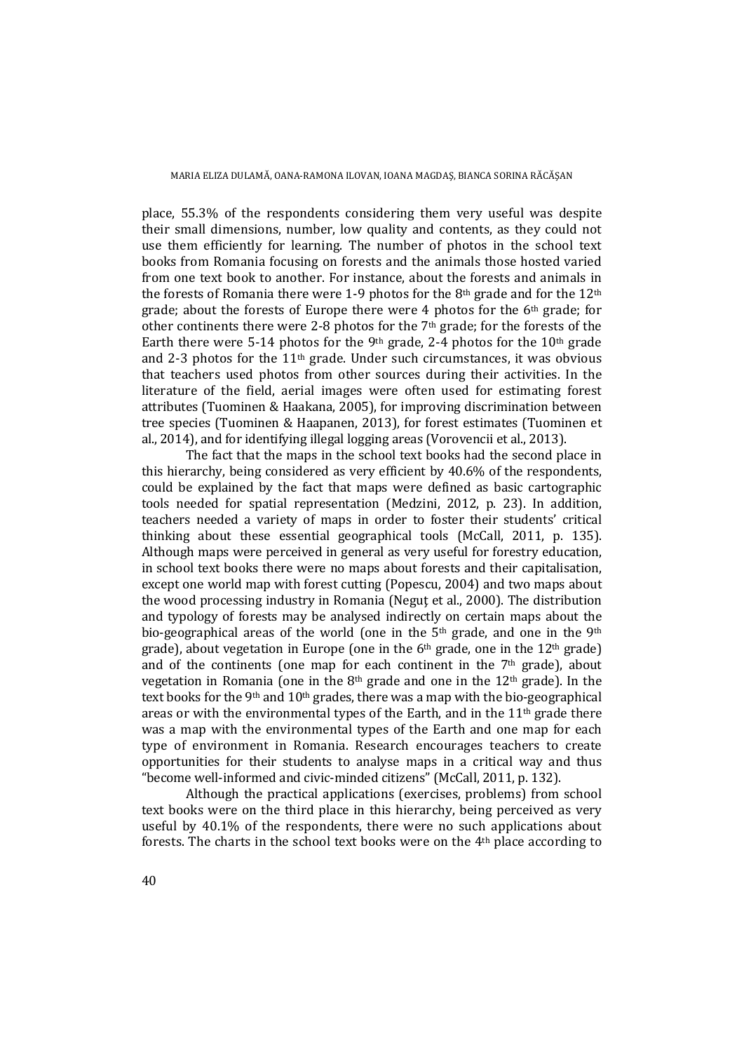place, 55.3% of the respondents considering them very useful was despite their small dimensions, number, low quality and contents, as they could not use them efficiently for learning. The number of photos in the school text books from Romania focusing on forests and the animals those hosted varied from one text book to another. For instance, about the forests and animals in the forests of Romania there were 1-9 photos for the 8<sup>th</sup> grade and for the  $12<sup>th</sup>$ grade; about the forests of Europe there were 4 photos for the 6th grade; for other continents there were 2-8 photos for the  $7<sup>th</sup>$  grade; for the forests of the Earth there were 5-14 photos for the 9<sup>th</sup> grade, 2-4 photos for the  $10<sup>th</sup>$  grade and 2-3 photos for the 11th grade. Under such circumstances, it was obvious that teachers used photos from other sources during their activities. In the literature of the field, aerial images were often used for estimating forest attributes (Tuominen & Haakana, 2005), for improving discrimination between tree species (Tuominen & Haapanen, 2013), for forest estimates (Tuominen et al., 2014), and for identifying illegal logging areas (Vorovencii et al., 2013).

The fact that the maps in the school text books had the second place in this hierarchy, being considered as very efficient by 40.6% of the respondents, could be explained by the fact that maps were defined as basic cartographic tools needed for spatial representation (Medzini, 2012, p. 23). In addition, teachers needed a variety of maps in order to foster their students' critical thinking about these essential geographical tools (McCall, 2011, p. 135). Although maps were perceived in general as very useful for forestry education, in school text books there were no maps about forests and their capitalisation, except one world map with forest cutting (Popescu, 2004) and two maps about the wood processing industry in Romania (Neguţ et al., 2000). The distribution and typology of forests may be analysed indirectly on certain maps about the bio-geographical areas of the world (one in the  $5<sup>th</sup>$  grade, and one in the  $9<sup>th</sup>$ grade), about vegetation in Europe (one in the 6th grade, one in the 12th grade) and of the continents (one map for each continent in the  $7<sup>th</sup>$  grade), about vegetation in Romania (one in the  $8<sup>th</sup>$  grade and one in the 12<sup>th</sup> grade). In the text books for the 9<sup>th</sup> and 10<sup>th</sup> grades, there was a map with the bio-geographical areas or with the environmental types of the Earth, and in the  $11<sup>th</sup>$  grade there was a map with the environmental types of the Earth and one map for each type of environment in Romania. Research encourages teachers to create opportunities for their students to analyse maps in a critical way and thus "become well-informed and civic-minded citizens" (McCall, 2011, p. 132).

Although the practical applications (exercises, problems) from school text books were on the third place in this hierarchy, being perceived as very useful by 40.1% of the respondents, there were no such applications about forests. The charts in the school text books were on the 4th place according to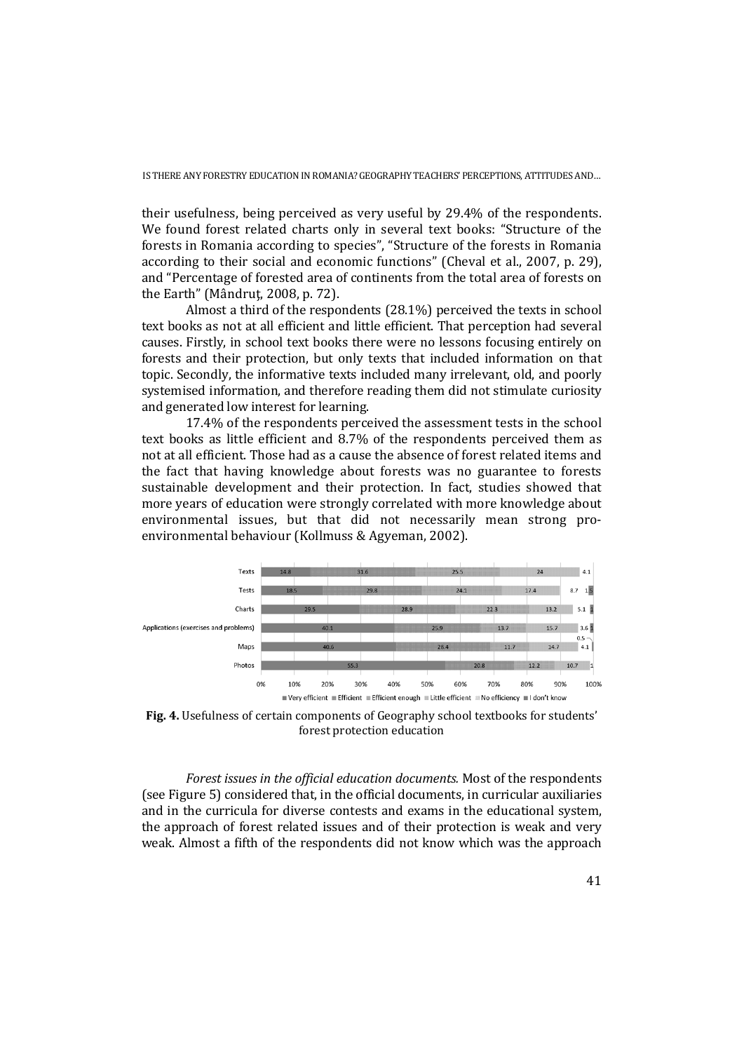their usefulness, being perceived as very useful by 29.4% of the respondents. We found forest related charts only in several text books: "Structure of the forests in Romania according to species", "Structure of the forests in Romania according to their social and economic functions" (Cheval et al., 2007, p. 29), and "Percentage of forested area of continents from the total area of forests on the Earth" (Mândruţ, 2008, p. 72).

Almost a third of the respondents (28.1%) perceived the texts in school text books as not at all efficient and little efficient. That perception had several causes. Firstly, in school text books there were no lessons focusing entirely on forests and their protection, but only texts that included information on that topic. Secondly, the informative texts included many irrelevant, old, and poorly systemised information, and therefore reading them did not stimulate curiosity and generated low interest for learning.

17.4% of the respondents perceived the assessment tests in the school text books as little efficient and 8.7% of the respondents perceived them as not at all efficient. Those had as a cause the absence of forest related items and the fact that having knowledge about forests was no guarantee to forests sustainable development and their protection. In fact, studies showed that more years of education were strongly correlated with more knowledge about environmental issues, but that did not necessarily mean strong proenvironmental behaviour (Kollmuss & Agyeman, 2002).



**Fig. 4.** Usefulness of certain components of Geography school textbooks for students' forest protection education

*Forest issues in the official education documents.* Most of the respondents (see Figure 5) considered that, in the official documents, in curricular auxiliaries and in the curricula for diverse contests and exams in the educational system, the approach of forest related issues and of their protection is weak and very weak. Almost a fifth of the respondents did not know which was the approach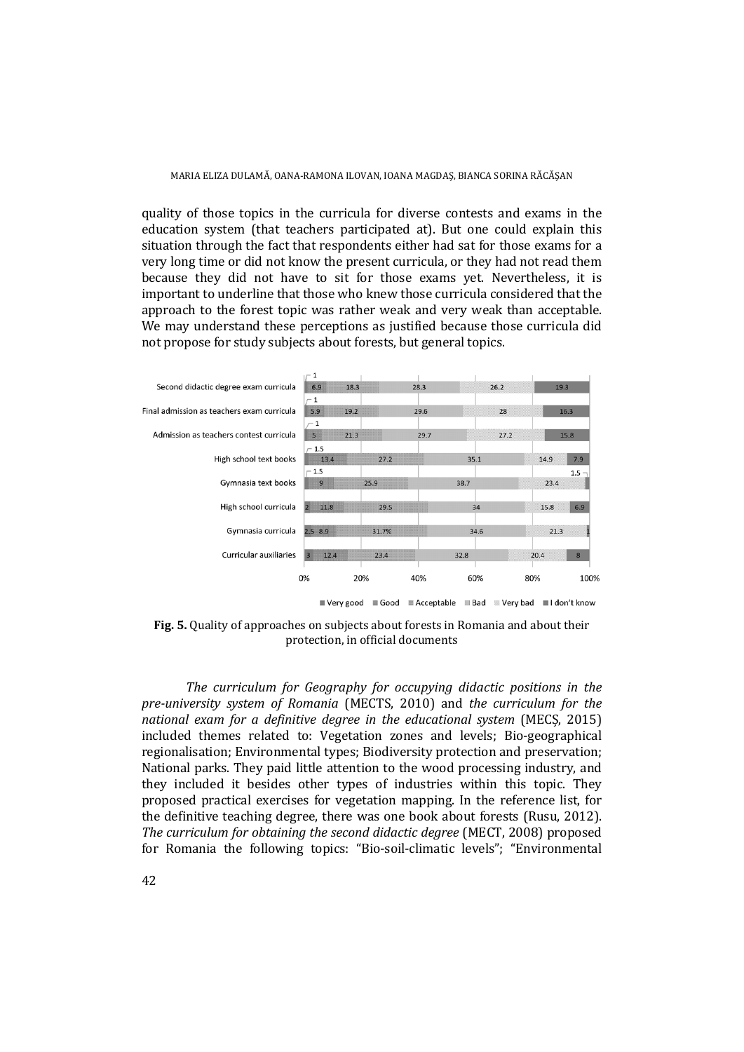quality of those topics in the curricula for diverse contests and exams in the education system (that teachers participated at). But one could explain this situation through the fact that respondents either had sat for those exams for a very long time or did not know the present curricula, or they had not read them because they did not have to sit for those exams yet. Nevertheless, it is important to underline that those who knew those curricula considered that the approach to the forest topic was rather weak and very weak than acceptable. We may understand these perceptions as justified because those curricula did not propose for study subjects about forests, but general topics.



**Fig. 5.** Quality of approaches on subjects about forests in Romania and about their protection, in official documents

*The curriculum for Geography for occupying didactic positions in the pre-university system of Romania* (MECTS, 2010) and *the curriculum for the national exam for a definitive degree in the educational system* (MECȘ, 2015) included themes related to: Vegetation zones and levels; Bio-geographical regionalisation; Environmental types; Biodiversity protection and preservation; National parks. They paid little attention to the wood processing industry, and they included it besides other types of industries within this topic. They proposed practical exercises for vegetation mapping. In the reference list, for the definitive teaching degree, there was one book about forests (Rusu, 2012). *The curriculum for obtaining the second didactic degree* (MECT, 2008) proposed for Romania the following topics: "Bio-soil-climatic levels"; "Environmental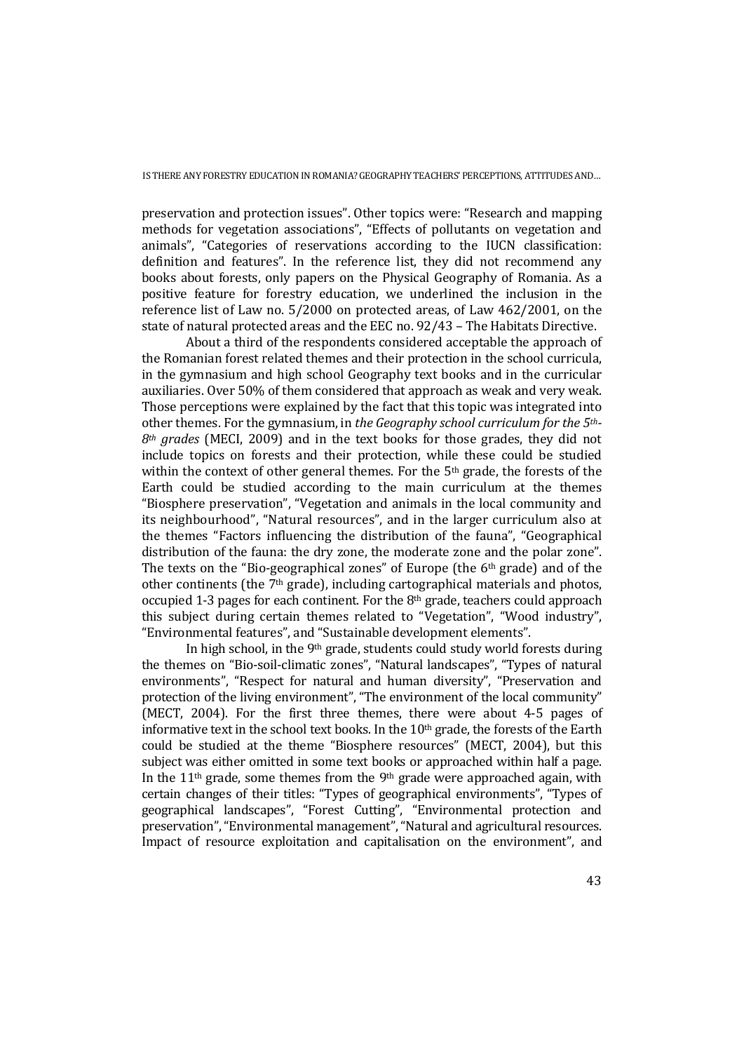preservation and protection issues". Other topics were: "Research and mapping methods for vegetation associations", "Effects of pollutants on vegetation and animals", "Categories of reservations according to the IUCN classification: definition and features". In the reference list, they did not recommend any books about forests, only papers on the Physical Geography of Romania. As a positive feature for forestry education, we underlined the inclusion in the reference list of Law no. 5/2000 on protected areas, of Law 462/2001, on the state of natural protected areas and the EEC no. 92/43 – The Habitats Directive.

About a third of the respondents considered acceptable the approach of the Romanian forest related themes and their protection in the school curricula, in the gymnasium and high school Geography text books and in the curricular auxiliaries. Over 50% of them considered that approach as weak and very weak. Those perceptions were explained by the fact that this topic was integrated into other themes. For the gymnasium, in *the Geography school curriculum for the 5th-8th grades* (MECI, 2009) and in the text books for those grades, they did not include topics on forests and their protection, while these could be studied within the context of other general themes. For the 5<sup>th</sup> grade, the forests of the Earth could be studied according to the main curriculum at the themes "Biosphere preservation", "Vegetation and animals in the local community and its neighbourhood", "Natural resources", and in the larger curriculum also at the themes "Factors influencing the distribution of the fauna", "Geographical distribution of the fauna: the dry zone, the moderate zone and the polar zone". The texts on the "Bio-geographical zones" of Europe (the  $6<sup>th</sup>$  grade) and of the other continents (the 7th grade), including cartographical materials and photos, occupied 1-3 pages for each continent. For the 8<sup>th</sup> grade, teachers could approach this subject during certain themes related to "Vegetation", "Wood industry", "Environmental features", and "Sustainable development elements".

In high school, in the 9th grade, students could study world forests during the themes on "Bio-soil-climatic zones", "Natural landscapes", "Types of natural environments", "Respect for natural and human diversity", "Preservation and protection of the living environment", "The environment of the local community" (MECT, 2004). For the first three themes, there were about 4-5 pages of informative text in the school text books. In the 10th grade, the forests of the Earth could be studied at the theme "Biosphere resources" (MECT, 2004), but this subject was either omitted in some text books or approached within half a page. In the 11<sup>th</sup> grade, some themes from the 9<sup>th</sup> grade were approached again, with certain changes of their titles: "Types of geographical environments", "Types of geographical landscapes", "Forest Cutting", "Environmental protection and preservation", "Environmental management", "Natural and agricultural resources. Impact of resource exploitation and capitalisation on the environment", and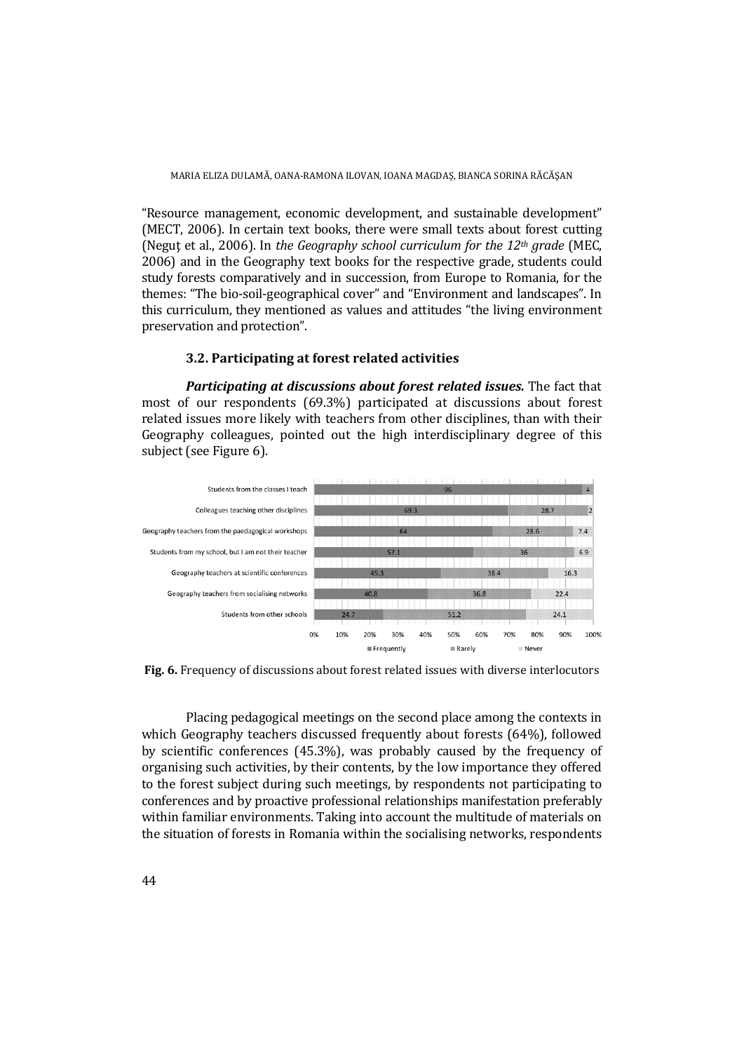"Resource management, economic development, and sustainable development" (MECT, 2006). In certain text books, there were small texts about forest cutting (Negut et al., 2006). In *the Geography school curriculum for the 12<sup>th</sup> grade* (MEC, 2006) and in the Geography text books for the respective grade, students could study forests comparatively and in succession, from Europe to Romania, for the themes: "The bio-soil-geographical cover" and "Environment and landscapes". In this curriculum, they mentioned as values and attitudes "the living environment preservation and protection".

### **3.2. Participating at forest related activities**

*Participating at discussions about forest related issues.* The fact that most of our respondents (69.3%) participated at discussions about forest related issues more likely with teachers from other disciplines, than with their Geography colleagues, pointed out the high interdisciplinary degree of this subject (see Figure 6).



**Fig. 6.** Frequency of discussions about forest related issues with diverse interlocutors

Placing pedagogical meetings on the second place among the contexts in which Geography teachers discussed frequently about forests (64%), followed by scientific conferences (45.3%), was probably caused by the frequency of organising such activities, by their contents, by the low importance they offered to the forest subject during such meetings, by respondents not participating to conferences and by proactive professional relationships manifestation preferably within familiar environments. Taking into account the multitude of materials on the situation of forests in Romania within the socialising networks, respondents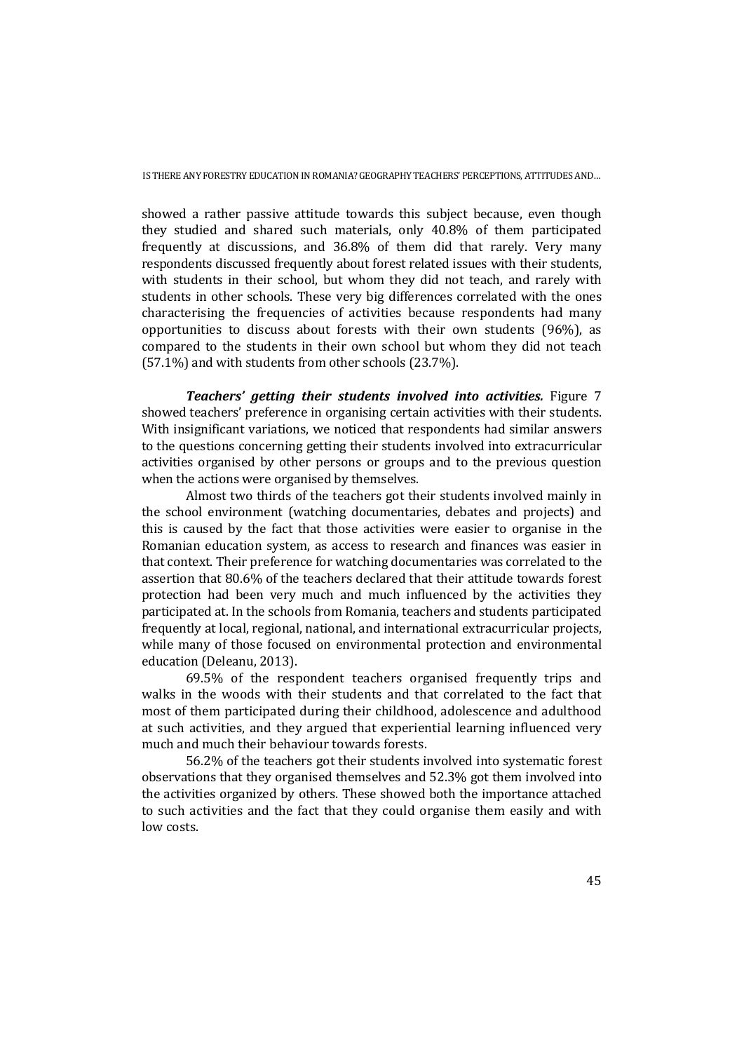showed a rather passive attitude towards this subject because, even though they studied and shared such materials, only 40.8% of them participated frequently at discussions, and 36.8% of them did that rarely. Very many respondents discussed frequently about forest related issues with their students, with students in their school, but whom they did not teach, and rarely with students in other schools. These very big differences correlated with the ones characterising the frequencies of activities because respondents had many opportunities to discuss about forests with their own students (96%), as compared to the students in their own school but whom they did not teach (57.1%) and with students from other schools (23.7%).

*Teachers' getting their students involved into activities.* Figure 7 showed teachers' preference in organising certain activities with their students. With insignificant variations, we noticed that respondents had similar answers to the questions concerning getting their students involved into extracurricular activities organised by other persons or groups and to the previous question when the actions were organised by themselves.

Almost two thirds of the teachers got their students involved mainly in the school environment (watching documentaries, debates and projects) and this is caused by the fact that those activities were easier to organise in the Romanian education system, as access to research and finances was easier in that context. Their preference for watching documentaries was correlated to the assertion that 80.6% of the teachers declared that their attitude towards forest protection had been very much and much influenced by the activities they participated at. In the schools from Romania, teachers and students participated frequently at local, regional, national, and international extracurricular projects, while many of those focused on environmental protection and environmental education (Deleanu, 2013).

69.5% of the respondent teachers organised frequently trips and walks in the woods with their students and that correlated to the fact that most of them participated during their childhood, adolescence and adulthood at such activities, and they argued that experiential learning influenced very much and much their behaviour towards forests.

56.2% of the teachers got their students involved into systematic forest observations that they organised themselves and 52.3% got them involved into the activities organized by others. These showed both the importance attached to such activities and the fact that they could organise them easily and with low costs.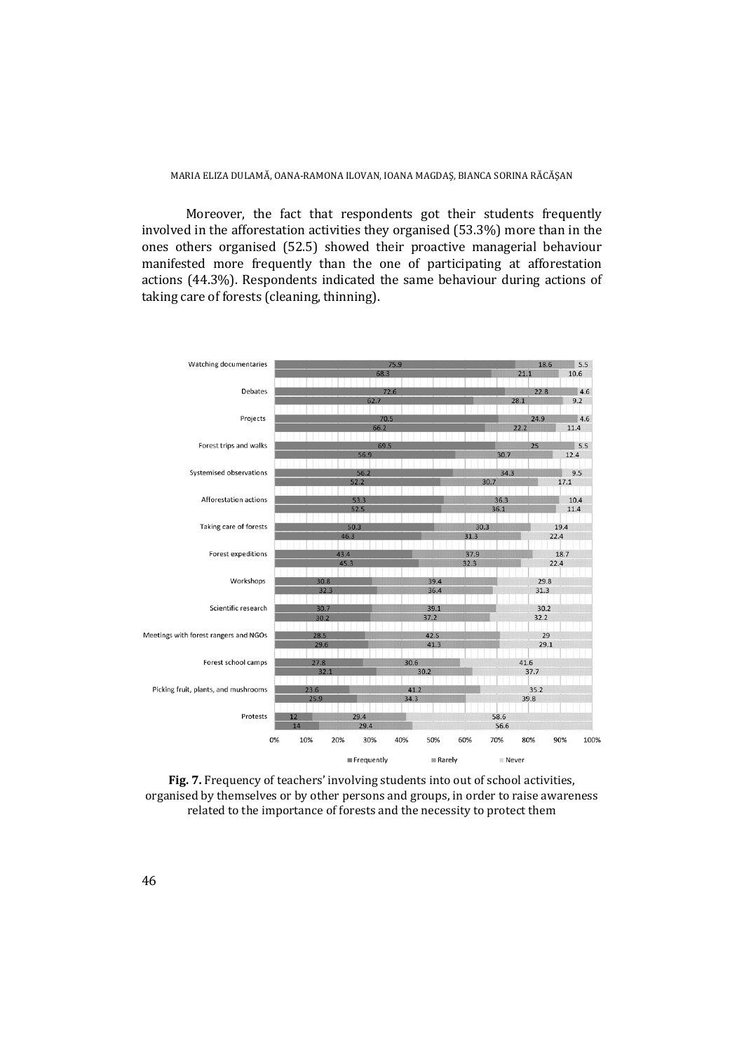Moreover, the fact that respondents got their students frequently involved in the afforestation activities they organised (53.3%) more than in the ones others organised (52.5) showed their proactive managerial behaviour manifested more frequently than the one of participating at afforestation actions (44.3%). Respondents indicated the same behaviour during actions of taking care of forests (cleaning, thinning).



**Fig. 7.** Frequency of teachers' involving students into out of school activities, organised by themselves or by other persons and groups, in order to raise awareness related to the importance of forests and the necessity to protect them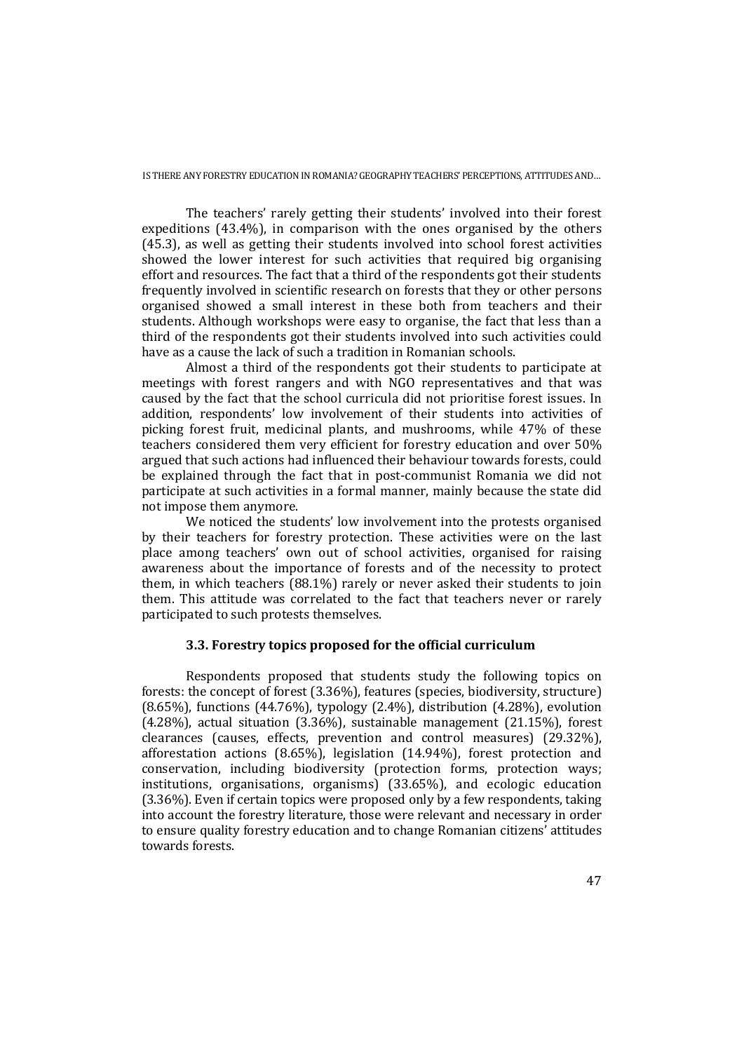The teachers' rarely getting their students' involved into their forest expeditions (43.4%), in comparison with the ones organised by the others (45.3), as well as getting their students involved into school forest activities showed the lower interest for such activities that required big organising effort and resources. The fact that a third of the respondents got their students frequently involved in scientific research on forests that they or other persons organised showed a small interest in these both from teachers and their students. Although workshops were easy to organise, the fact that less than a third of the respondents got their students involved into such activities could have as a cause the lack of such a tradition in Romanian schools.

Almost a third of the respondents got their students to participate at meetings with forest rangers and with NGO representatives and that was caused by the fact that the school curricula did not prioritise forest issues. In addition, respondents' low involvement of their students into activities of picking forest fruit, medicinal plants, and mushrooms, while 47% of these teachers considered them very efficient for forestry education and over 50% argued that such actions had influenced their behaviour towards forests, could be explained through the fact that in post-communist Romania we did not participate at such activities in a formal manner, mainly because the state did not impose them anymore.

We noticed the students' low involvement into the protests organised by their teachers for forestry protection. These activities were on the last place among teachers' own out of school activities, organised for raising awareness about the importance of forests and of the necessity to protect them, in which teachers (88.1%) rarely or never asked their students to join them. This attitude was correlated to the fact that teachers never or rarely participated to such protests themselves.

## **3.3. Forestry topics proposed for the official curriculum**

Respondents proposed that students study the following topics on forests: the concept of forest (3.36%), features (species, biodiversity, structure) (8.65%), functions (44.76%), typology (2.4%), distribution (4.28%), evolution (4.28%), actual situation (3.36%), sustainable management (21.15%), forest clearances (causes, effects, prevention and control measures) (29.32%), afforestation actions (8.65%), legislation (14.94%), forest protection and conservation, including biodiversity (protection forms, protection ways; institutions, organisations, organisms) (33.65%), and ecologic education (3.36%). Even if certain topics were proposed only by a few respondents, taking into account the forestry literature, those were relevant and necessary in order to ensure quality forestry education and to change Romanian citizens' attitudes towards forests.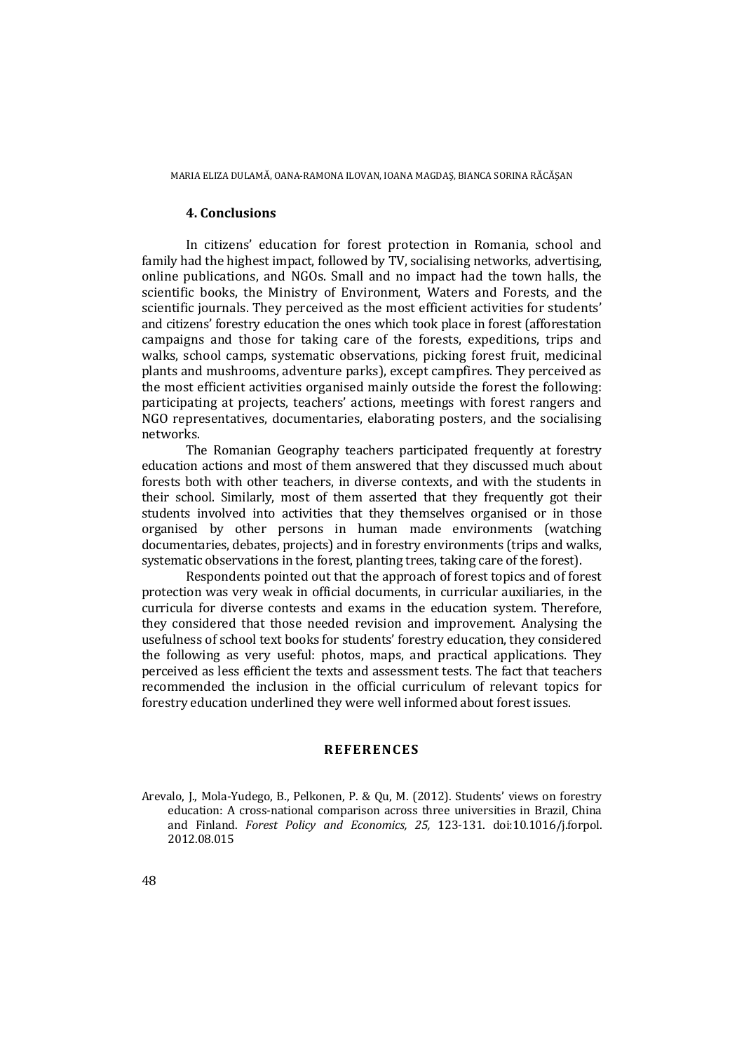#### **4. Conclusions**

In citizens' education for forest protection in Romania, school and family had the highest impact, followed by TV, socialising networks, advertising, online publications, and NGOs. Small and no impact had the town halls, the scientific books, the Ministry of Environment, Waters and Forests, and the scientific journals. They perceived as the most efficient activities for students' and citizens' forestry education the ones which took place in forest (afforestation campaigns and those for taking care of the forests, expeditions, trips and walks, school camps, systematic observations, picking forest fruit, medicinal plants and mushrooms, adventure parks), except campfires. They perceived as the most efficient activities organised mainly outside the forest the following: participating at projects, teachers' actions, meetings with forest rangers and NGO representatives, documentaries, elaborating posters, and the socialising networks.

The Romanian Geography teachers participated frequently at forestry education actions and most of them answered that they discussed much about forests both with other teachers, in diverse contexts, and with the students in their school. Similarly, most of them asserted that they frequently got their students involved into activities that they themselves organised or in those organised by other persons in human made environments (watching documentaries, debates, projects) and in forestry environments (trips and walks, systematic observations in the forest, planting trees, taking care of the forest).

Respondents pointed out that the approach of forest topics and of forest protection was very weak in official documents, in curricular auxiliaries, in the curricula for diverse contests and exams in the education system. Therefore, they considered that those needed revision and improvement. Analysing the usefulness of school text books for students' forestry education, they considered the following as very useful: photos, maps, and practical applications. They perceived as less efficient the texts and assessment tests. The fact that teachers recommended the inclusion in the official curriculum of relevant topics for forestry education underlined they were well informed about forest issues.

## **REFERENCES**

Arevalo, J., Mola-Yudego, B., Pelkonen, P. & Qu, M. (2012). Students' views on forestry education: A cross-national comparison across three universities in Brazil, China and Finland. *Forest Policy and Economics, 25,* 123-131. doi:10.1016/j.forpol. 2012.08.015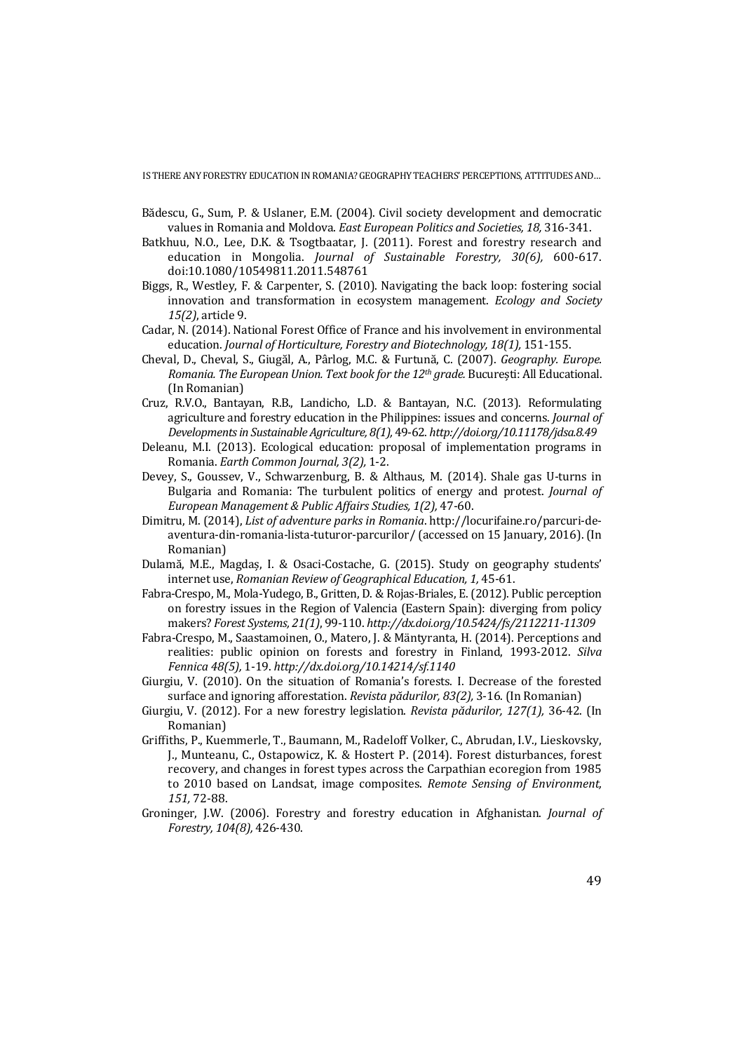- Bădescu, G., Sum, P. & Uslaner, E.M. (2004). Civil society development and democratic values in Romania and Moldova. *East European Politics and Societies, 18,* 316-341.
- Batkhuu, N.O., Lee, D.K. & Tsogtbaatar, J. (2011). Forest and forestry research and education in Mongolia. *Journal of Sustainable Forestry, 30(6),* 600-617. doi:10.1080/10549811.2011.548761
- Biggs, R., Westley, F. & Carpenter, S. (2010). Navigating the back loop: fostering social innovation and transformation in ecosystem management. *Ecology and Society 15(2)*, article 9.
- Cadar, N. (2014). National Forest Office of France and his involvement in environmental education. *Journal of Horticulture, Forestry and Biotechnology, 18(1),* 151-155.
- Cheval, D., Cheval, S., Giugăl, A., Pârlog, M.C. & Furtună, C. (2007). *Geography. Europe. Romania. The European Union. Text book for the 12th grade.* București: All Educational. (In Romanian)
- Cruz, R.V.O., Bantayan, R.B., Landicho, L.D. & Bantayan, N.C. (2013). Reformulating agriculture and forestry education in the Philippines: issues and concerns. *Journal of Developments in Sustainable Agriculture, 8(1),* 49-62. *http://doi.org/10.11178/jdsa.8.49*
- Deleanu, M.I. (2013). Ecological education: proposal of implementation programs in Romania. *Earth Common Journal, 3(2),* 1-2.
- Devey, S., Goussev, V., Schwarzenburg, B. & Althaus, M. (2014). Shale gas U-turns in Bulgaria and Romania: The turbulent politics of energy and protest. *Journal of European Management & Public Affairs Studies, 1(2),* 47-60.
- Dimitru, M. (2014), *List of adventure parks in Romania*. http://locurifaine.ro/parcuri-deaventura-din-romania-lista-tuturor-parcurilor/ (accessed on 15 January, 2016). (In Romanian)
- Dulamă, M.E., Magdaș, I. & Osaci-Costache, G. (2015). Study on geography students' internet use, *Romanian Review of Geographical Education, 1,* 45-61.
- Fabra-Crespo, M., Mola-Yudego, B., Gritten, D. & Rojas-Briales, E. (2012). Public perception on forestry issues in the Region of Valencia (Eastern Spain): diverging from policy makers? *Forest Systems, 21(1)*, 99-110. *http://dx.doi.org/10.5424/fs/2112211-11309*
- Fabra-Crespo, M., Saastamoinen, O., Matero, J. & Mäntyranta, H. (2014). Perceptions and realities: public opinion on forests and forestry in Finland, 1993-2012. *Silva Fennica 48(5),* 1-19. *http://dx.doi.org/10.14214/sf.1140*
- Giurgiu, V. (2010). On the situation of Romania's forests. I. Decrease of the forested surface and ignoring afforestation. *Revista pădurilor, 83(2),* 3-16. (In Romanian)
- Giurgiu, V. (2012). For a new forestry legislation. *Revista pădurilor, 127(1),* 36-42. (In Romanian)
- Griffiths, P., Kuemmerle, T., Baumann, M., Radeloff Volker, C., Abrudan, I.V., Lieskovsky, J., Munteanu, C., Ostapowicz, K. & Hostert P. (2014). Forest disturbances, forest recovery, and changes in forest types across the Carpathian ecoregion from 1985 to 2010 based on Landsat, image composites. *Remote Sensing of Environment, 151,* 72-88.
- Groninger, J.W. (2006). Forestry and forestry education in Afghanistan. *Journal of Forestry, 104(8),* 426-430.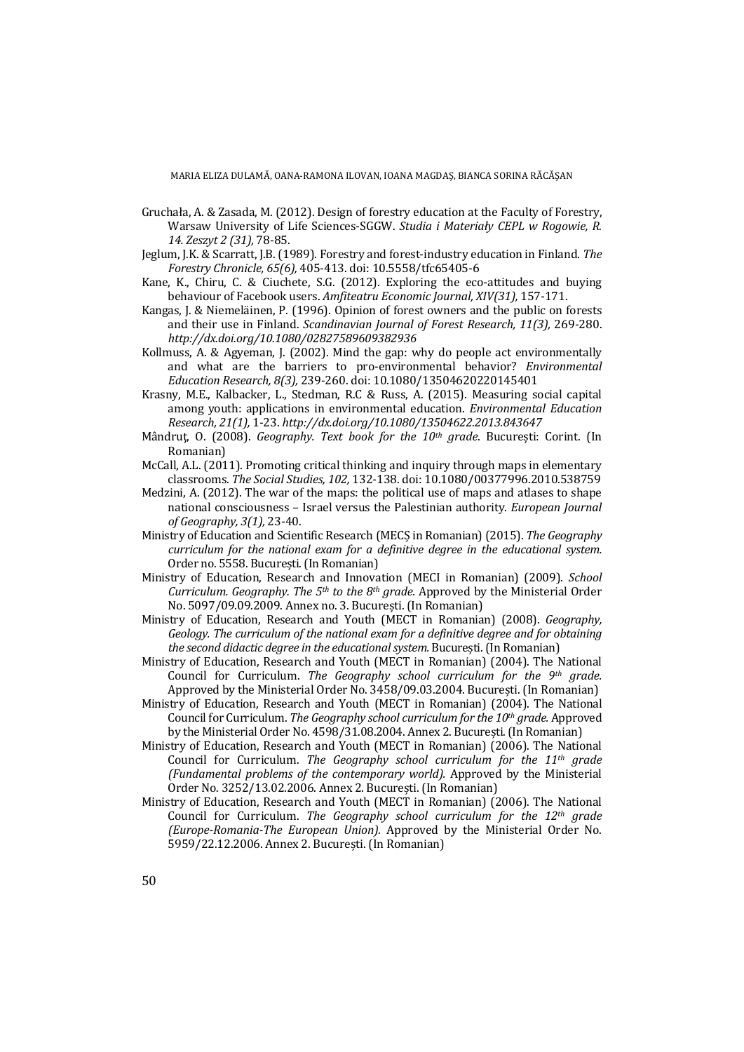- Gruchała, A. & Zasada, M. (2012). Design of forestry education at the Faculty of Forestry, Warsaw University of Life Sciences-SGGW. *Studia i Materiały CEPL w Rogowie, R. 14. Zeszyt 2 (31),* 78-85.
- Jeglum, J.K. & Scarratt, J.B. (1989). Forestry and forest-industry education in Finland. *The Forestry Chronicle, 65(6),* 405-413. doi: 10.5558/tfc65405-6
- Kane, K., Chiru, C. & Ciuchete, S.G. (2012). Exploring the eco-attitudes and buying behaviour of Facebook users. *Amfiteatru Economic Journal, XIV(31),* 157-171.
- Kangas, J. & Niemeläinen, P. (1996). Opinion of forest owners and the public on forests and their use in Finland. *Scandinavian Journal of Forest Research, 11(3),* 269-280. *http://dx.doi.org/10.1080/02827589609382936*
- Kollmuss, A. & Agyeman, J. (2002). Mind the gap: why do people act environmentally and what are the barriers to pro-environmental behavior? *Environmental Education Research, 8(3),* 239-260. doi: 10.1080/13504620220145401
- Krasny, M.E., Kalbacker, L., Stedman, R.C & Russ, A. (2015). Measuring social capital among youth: applications in environmental education. *Environmental Education Research, 21(1),* 1-23. *http://dx.doi.org/10.1080/13504622.2013.843647*
- Mândruţ, O. (2008). *Geography. Text book for the 10th grade*. București: Corint. (In Romanian)
- McCall, A.L. (2011). Promoting critical thinking and inquiry through maps in elementary classrooms. *The Social Studies, 102,* 132-138. doi: 10.1080/00377996.2010.538759
- Medzini, A. (2012). The war of the maps: the political use of maps and atlases to shape national consciousness – Israel versus the Palestinian authority. *European Journal of Geography, 3(1),* 23-40.
- Ministry of Education and Scientific Research (MECȘ in Romanian) (2015). *The Geography curriculum for the national exam for a definitive degree in the educational system.*  Order no. 5558. București. (In Romanian)
- Ministry of Education, Research and Innovation (MECI in Romanian) (2009). *School Curriculum. Geography. The 5th to the 8th grade.* Approved by the Ministerial Order No. 5097/09.09.2009. Annex no. 3. București. (In Romanian)
- Ministry of Education, Research and Youth (MECT in Romanian) (2008). *Geography, Geology. The curriculum of the national exam for a definitive degree and for obtaining the second didactic degree in the educational system.* București. (In Romanian)
- Ministry of Education, Research and Youth (MECT in Romanian) (2004). The National Council for Curriculum. *The Geography school curriculum for the 9th grade.*  Approved by the Ministerial Order No. 3458/09.03.2004. București. (In Romanian)
- Ministry of Education, Research and Youth (MECT in Romanian) (2004). The National Council for Curriculum. *The Geography school curriculum for the 10th grade.* Approved by the Ministerial Order No. 4598/31.08.2004. Annex 2. București. (In Romanian)
- Ministry of Education, Research and Youth (MECT in Romanian) (2006). The National Council for Curriculum. *The Geography school curriculum for the 11th grade (Fundamental problems of the contemporary world).* Approved by the Ministerial Order No. 3252/13.02.2006. Annex 2. București. (In Romanian)
- Ministry of Education, Research and Youth (MECT in Romanian) (2006). The National Council for Curriculum. *The Geography school curriculum for the 12th grade (Europe-Romania-The European Union).* Approved by the Ministerial Order No. 5959/22.12.2006. Annex 2. București. (In Romanian)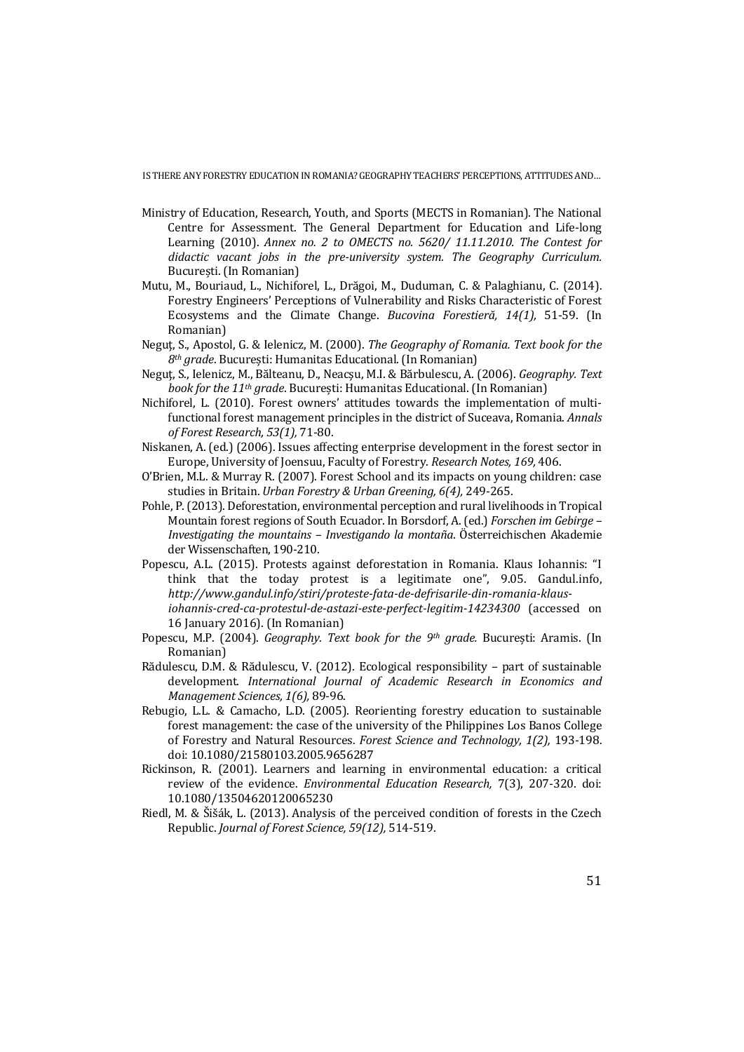- Ministry of Education, Research, Youth, and Sports (MECTS in Romanian). The National Centre for Assessment. The General Department for Education and Life-long Learning (2010). *Annex no. 2 to OMECTS no. 5620/ 11.11.2010. The Contest for didactic vacant jobs in the pre-university system. The Geography Curriculum.* București. (In Romanian)
- Mutu, M., Bouriaud, L., Nichiforel, L., Drăgoi, M., Duduman, C. & Palaghianu, C. (2014). Forestry Engineers' Perceptions of Vulnerability and Risks Characteristic of Forest Ecosystems and the Climate Change. *Bucovina Forestieră, 14(1),* 51-59. (In Romanian)
- Neguţ, S., Apostol, G. & Ielenicz, M. (2000). *The Geography of Romania. Text book for the 8th grade*. București: Humanitas Educational. (In Romanian)
- Neguţ, S., Ielenicz, M., Bălteanu, D., Neacşu, M.I. & Bărbulescu, A. (2006). *Geography. Text book for the 11th grade*. București: Humanitas Educational. (In Romanian)
- Nichiforel, L. (2010). Forest owners' attitudes towards the implementation of multifunctional forest management principles in the district of Suceava, Romania. *Annals of Forest Research, 53(1),* 71-80.
- Niskanen, A. (ed.) (2006). Issues affecting enterprise development in the forest sector in Europe, University of Joensuu, Faculty of Forestry. *Research Notes, 169,* 406.
- O'Brien, M.L. & Murray R. (2007). Forest School and its impacts on young children: case studies in Britain. *Urban Forestry & Urban Greening, 6(4),* 249-265.
- Pohle, P. (2013). Deforestation, environmental perception and rural livelihoods in Tropical Mountain forest regions of South Ecuador. In Borsdorf, A. (ed.) *Forschen im Gebirge – Investigating the mountains – Investigando la montaña*. Österreichischen Akademie der Wissenschaften, 190-210.
- Popescu, A.L. (2015). Protests against deforestation in Romania. Klaus Iohannis: "I think that the today protest is a legitimate one", 9.05. Gandul.info, *http://www.gandul.info/stiri/proteste-fata-de-defrisarile-din-romania-klausiohannis-cred-ca-protestul-de-astazi-este-perfect-legitim-14234300* (accessed on
- 16 January 2016). (In Romanian) Popescu, M.P. (2004). *Geography. Text book for the 9th grade.* București: Aramis. (In Romanian)
- Rădulescu, D.M. & Rădulescu, V. (2012). Ecological responsibility part of sustainable development. *International Journal of Academic Research in Economics and Management Sciences, 1(6),* 89-96.
- Rebugio, L.L. & Camacho, L.D. (2005). Reorienting forestry education to sustainable forest management: the case of the university of the Philippines Los Banos College of Forestry and Natural Resources. *Forest Science and Technology, 1(2),* 193-198. doi: 10.1080/21580103.2005.9656287
- Rickinson, R. (2001). Learners and learning in environmental education: a critical review of the evidence. *Environmental Education Research,* 7(3), 207-320. doi: 10.1080/13504620120065230
- Riedl, M. & Šišák, L. (2013). Analysis of the perceived condition of forests in the Czech Republic. *Journal of Forest Science, 59(12),* 514-519.